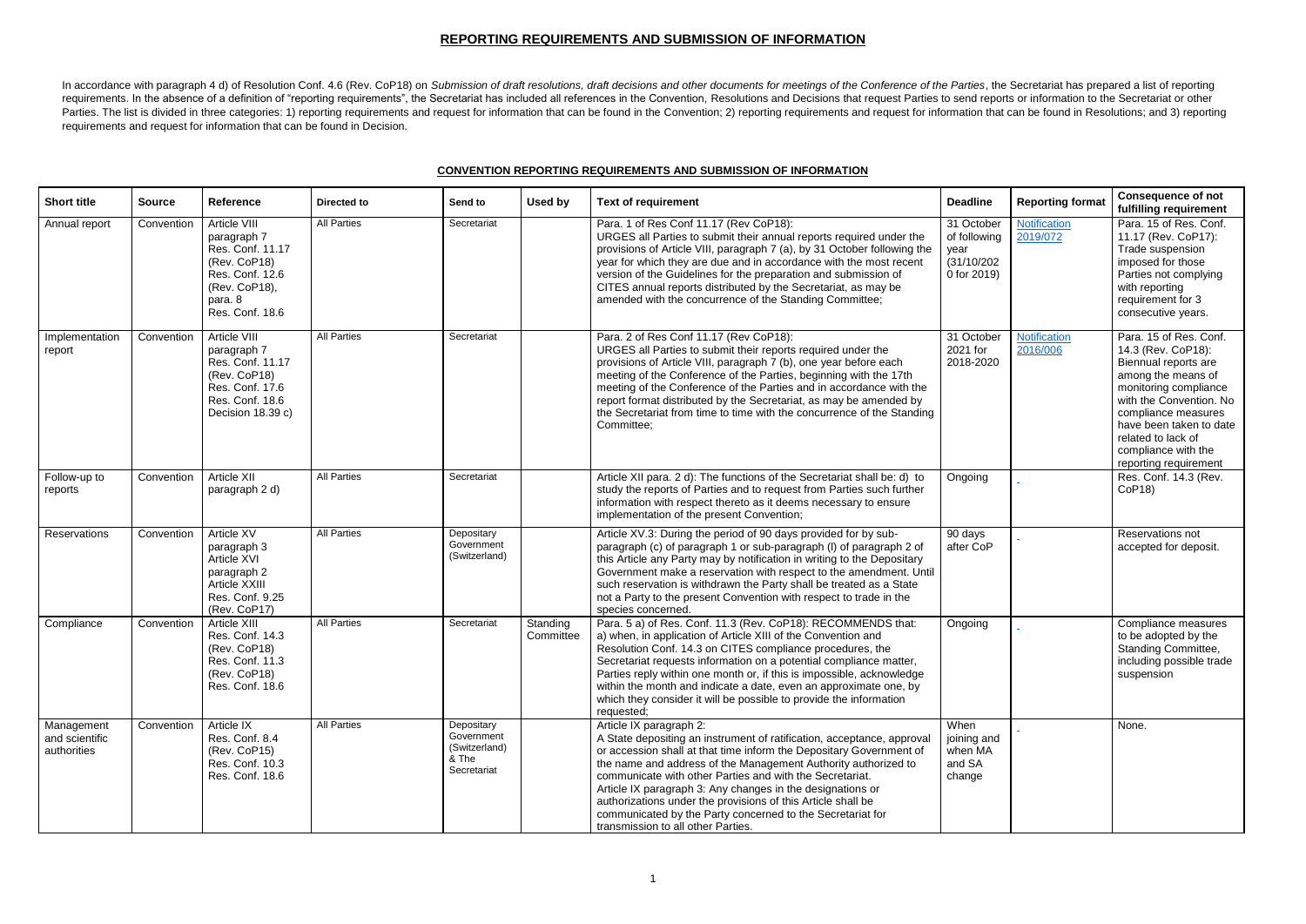## **REPORTING REQUIREMENTS AND SUBMISSION OF INFORMATION**

In accordance with paragraph 4 d) of Resolution Conf. 4.6 (Rev. CoP18) on Submission of draft resolutions, draft decisions and other documents for meetings of the Conference of the Parties, the Secretariat has prepared a l requirements. In the absence of a definition of "reporting requirements", the Secretariat has included all references in the Convention, Resolutions and Decisions that request Parties to send reports or information to the Parties. The list is divided in three categories: 1) reporting requirements and request for information that can be found in the Convention; 2) reporting requirements and request for information that can be found in Resolu requirements and request for information that can be found in Decision.

## **CONVENTION REPORTING REQUIREMENTS AND SUBMISSION OF INFORMATION**

| <b>Short title</b>                          | <b>Source</b> | <b>Reference</b>                                                                                                                  | Directed to        | Send to                                                           | Used by               | <b>Text of requirement</b>                                                                                                                                                                                                                                                                                                                                                                                                                                                                                                               | <b>Deadline</b>                                                  | <b>Reporting format</b>  | <b>Consequence of not</b><br>fulfilling requirement                                                                                                                                                                                                                    |
|---------------------------------------------|---------------|-----------------------------------------------------------------------------------------------------------------------------------|--------------------|-------------------------------------------------------------------|-----------------------|------------------------------------------------------------------------------------------------------------------------------------------------------------------------------------------------------------------------------------------------------------------------------------------------------------------------------------------------------------------------------------------------------------------------------------------------------------------------------------------------------------------------------------------|------------------------------------------------------------------|--------------------------|------------------------------------------------------------------------------------------------------------------------------------------------------------------------------------------------------------------------------------------------------------------------|
| Annual report                               | Convention    | Article VIII<br>paragraph 7<br>Res. Conf. 11.17<br>(Rev. CoP18)<br>Res. Conf. 12.6<br>(Rev. CoP18),<br>para. 8<br>Res. Conf. 18.6 | <b>All Parties</b> | Secretariat                                                       |                       | Para. 1 of Res Conf 11.17 (Rev CoP18):<br>URGES all Parties to submit their annual reports required under the<br>provisions of Article VIII, paragraph 7 (a), by 31 October following the<br>year for which they are due and in accordance with the most recent<br>version of the Guidelines for the preparation and submission of<br>CITES annual reports distributed by the Secretariat, as may be<br>amended with the concurrence of the Standing Committee;                                                                          | 31 October<br>of following<br>year<br>(31/10/202)<br>0 for 2019) | Notification<br>2019/072 | Para. 15 of Res. Conf.<br>11.17 (Rev. CoP17):<br>Trade suspension<br>imposed for those<br>Parties not complying<br>with reporting<br>requirement for 3<br>consecutive years.                                                                                           |
| Implementation<br>report                    | Convention    | Article VIII<br>paragraph 7<br>Res. Conf. 11.17<br>(Rev. CoP18)<br>Res. Conf. 17.6<br>Res. Conf. 18.6<br>Decision 18.39 c)        | <b>All Parties</b> | Secretariat                                                       |                       | Para. 2 of Res Conf 11.17 (Rev CoP18):<br>URGES all Parties to submit their reports required under the<br>provisions of Article VIII, paragraph 7 (b), one year before each<br>meeting of the Conference of the Parties, beginning with the 17th<br>meeting of the Conference of the Parties and in accordance with the<br>report format distributed by the Secretariat, as may be amended by<br>the Secretariat from time to time with the concurrence of the Standing<br>Committee:                                                    | 31 October<br>2021 for<br>2018-2020                              | Notification<br>2016/006 | Para. 15 of Res. Conf.<br>14.3 (Rev. CoP18):<br>Biennual reports are<br>among the means of<br>monitoring compliance<br>with the Convention. No<br>compliance measures<br>have been taken to date<br>related to lack of<br>compliance with the<br>reporting requirement |
| Follow-up to<br>reports                     | Convention    | <b>Article XII</b><br>paragraph 2 d)                                                                                              | <b>All Parties</b> | Secretariat                                                       |                       | Article XII para. 2 d): The functions of the Secretariat shall be: d) to<br>study the reports of Parties and to request from Parties such further<br>information with respect thereto as it deems necessary to ensure<br>implementation of the present Convention;                                                                                                                                                                                                                                                                       | Ongoing                                                          |                          | Res. Conf. 14.3 (Rev.<br>CoP18                                                                                                                                                                                                                                         |
| Reservations                                | Convention    | Article XV<br>paragraph 3<br>Article XVI<br>paragraph 2<br>Article XXIII<br>Res. Conf. 9.25<br>(Rev. CoP17)                       | <b>All Parties</b> | Depositary<br>Government<br>(Switzerland)                         |                       | Article XV.3: During the period of 90 days provided for by sub-<br>paragraph (c) of paragraph 1 or sub-paragraph (I) of paragraph 2 of<br>this Article any Party may by notification in writing to the Depositary<br>Government make a reservation with respect to the amendment. Until<br>such reservation is withdrawn the Party shall be treated as a State<br>not a Party to the present Convention with respect to trade in the<br>species concerned.                                                                               | 90 days<br>after CoP                                             |                          | Reservations not<br>accepted for deposit.                                                                                                                                                                                                                              |
| Compliance                                  | Convention    | Article XIII<br>Res. Conf. 14.3<br>(Rev. CoP18)<br>Res. Conf. 11.3<br>(Rev. CoP18)<br>Res. Conf. 18.6                             | <b>All Parties</b> | Secretariat                                                       | Standing<br>Committee | Para. 5 a) of Res. Conf. 11.3 (Rev. CoP18): RECOMMENDS that:<br>a) when, in application of Article XIII of the Convention and<br>Resolution Conf. 14.3 on CITES compliance procedures, the<br>Secretariat requests information on a potential compliance matter,<br>Parties reply within one month or, if this is impossible, acknowledge<br>within the month and indicate a date, even an approximate one, by<br>which they consider it will be possible to provide the information<br>requested;                                       | Ongoing                                                          |                          | Compliance measures<br>to be adopted by the<br><b>Standing Committee,</b><br>including possible trade<br>suspension                                                                                                                                                    |
| Management<br>and scientific<br>authorities | Convention    | Article IX<br>Res. Conf. 8.4<br>(Rev. CoP15)<br>Res. Conf. 10.3<br>Res. Conf. 18.6                                                | <b>All Parties</b> | Depositary<br>Government<br>(Switzerland)<br>& The<br>Secretariat |                       | Article IX paragraph 2:<br>A State depositing an instrument of ratification, acceptance, approval<br>or accession shall at that time inform the Depositary Government of<br>the name and address of the Management Authority authorized to<br>communicate with other Parties and with the Secretariat.<br>Article IX paragraph 3: Any changes in the designations or<br>authorizations under the provisions of this Article shall be<br>communicated by the Party concerned to the Secretariat for<br>transmission to all other Parties. | When<br>joining and<br>when MA<br>and SA<br>change               |                          | None.                                                                                                                                                                                                                                                                  |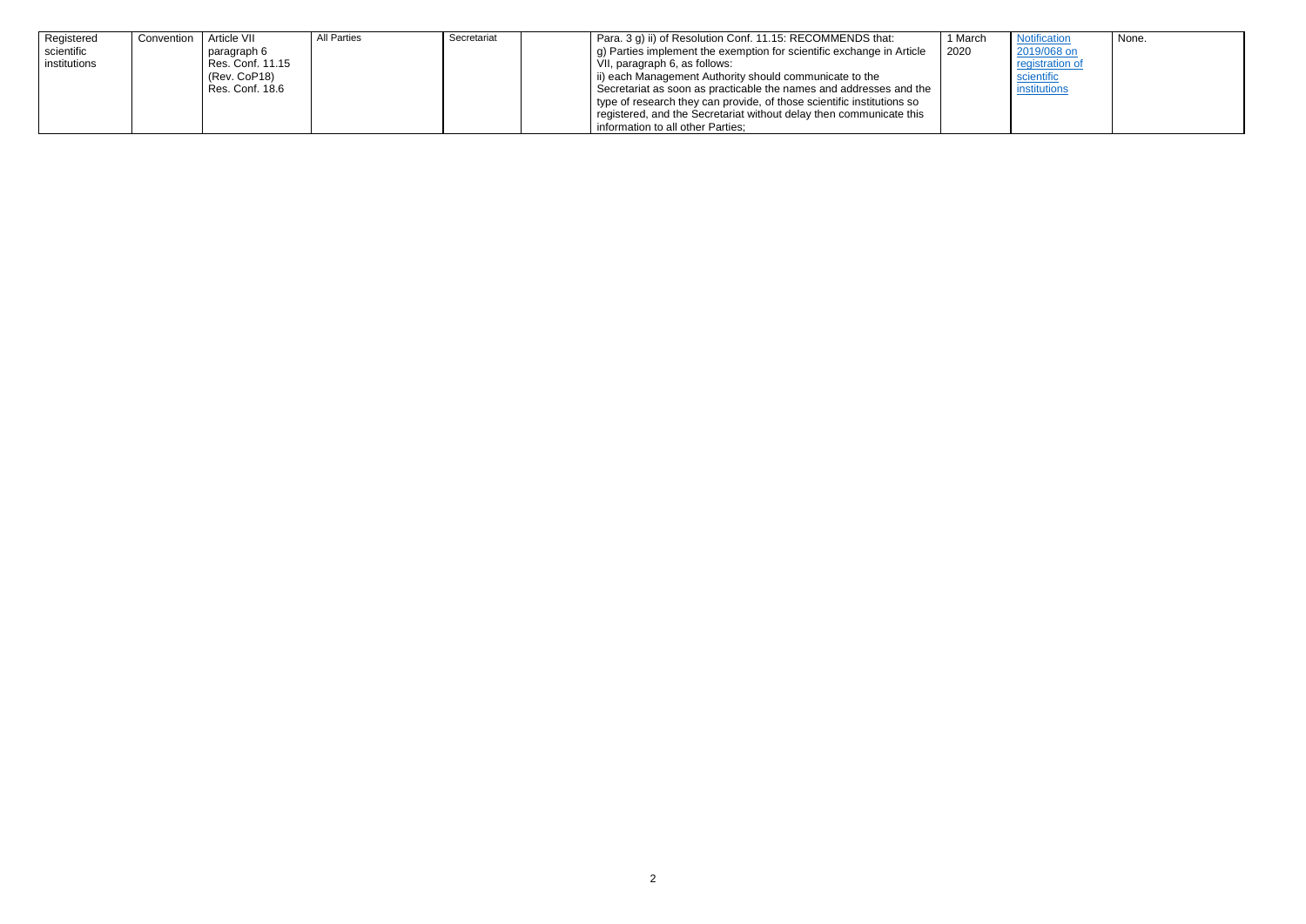| Registered<br>scientific | Convention | Article VII<br>paragraph 6      | All Parties | Secretariat | Para. 3 g) ii) of Resolution Conf. 11.15: RECOMMENDS that:<br>g) Parties implement the exemption for scientific exchange in Article<br>2020  | 1 March |
|--------------------------|------------|---------------------------------|-------------|-------------|----------------------------------------------------------------------------------------------------------------------------------------------|---------|
| institutions             |            | Res. Conf. 11.15                |             |             | VII, paragraph 6, as follows:                                                                                                                |         |
|                          |            | (Rev. CoP18)<br>Res. Conf. 18.6 |             |             | ii) each Management Authority should communicate to the                                                                                      |         |
|                          |            |                                 |             |             | Secretariat as soon as practicable the names and addresses and the<br>type of research they can provide, of those scientific institutions so |         |
|                          |            |                                 |             |             | registered, and the Secretariat without delay then communicate this                                                                          |         |
|                          |            |                                 |             |             | information to all other Parties;                                                                                                            |         |

| <b>Notification</b><br>2019/068 on<br>registration of<br>scientific<br>institutions | None. |
|-------------------------------------------------------------------------------------|-------|
|-------------------------------------------------------------------------------------|-------|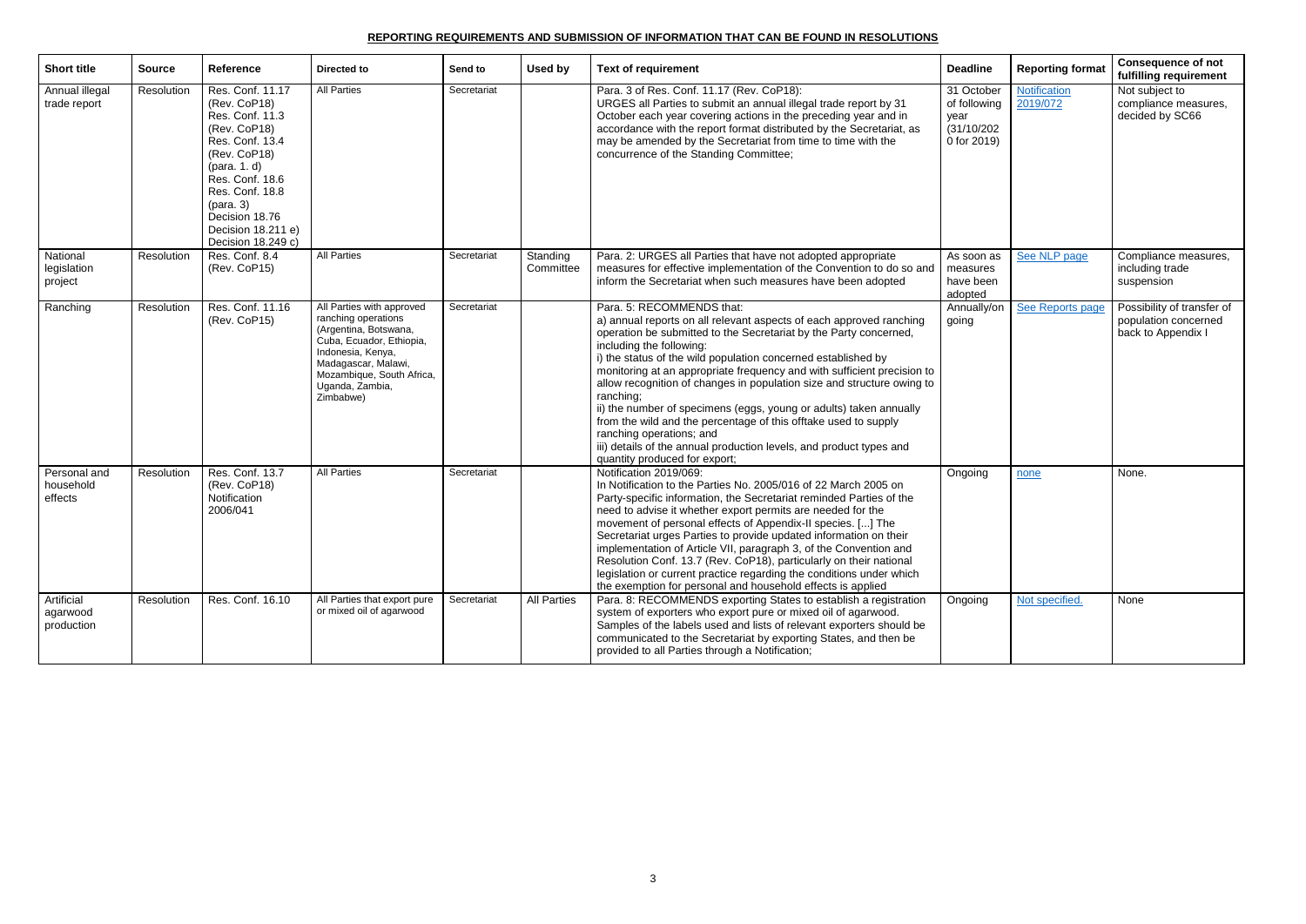## **REPORTING REQUIREMENTS AND SUBMISSION OF INFORMATION THAT CAN BE FOUND IN RESOLUTIONS**

| <b>Short title</b>                   | <b>Source</b> | <b>Reference</b>                                                                                                                                                                                                                                           | Directed to                                                                                                                                                                                                    | Send to     | Used by               | <b>Text of requirement</b>                                                                                                                                                                                                                                                                                                                                                                                                                                                                                                                                                                                                                                                                                        | <b>Deadline</b>                                                  | <b>Reporting format</b>  | <b>Consequence of not</b><br>fulfilling requirement                      |
|--------------------------------------|---------------|------------------------------------------------------------------------------------------------------------------------------------------------------------------------------------------------------------------------------------------------------------|----------------------------------------------------------------------------------------------------------------------------------------------------------------------------------------------------------------|-------------|-----------------------|-------------------------------------------------------------------------------------------------------------------------------------------------------------------------------------------------------------------------------------------------------------------------------------------------------------------------------------------------------------------------------------------------------------------------------------------------------------------------------------------------------------------------------------------------------------------------------------------------------------------------------------------------------------------------------------------------------------------|------------------------------------------------------------------|--------------------------|--------------------------------------------------------------------------|
| Annual illegal<br>trade report       | Resolution    | Res. Conf. 11.17<br>(Rev. CoP18)<br>Res. Conf. 11.3<br>(Rev. CoP18)<br>Res. Conf. 13.4<br>(Rev. CoP18)<br>$(\text{para. } 1. d)$<br>Res. Conf. 18.6<br>Res. Conf. 18.8<br>$(\text{para. 3})$<br>Decision 18.76<br>Decision 18.211 e)<br>Decision 18.249 c) | <b>All Parties</b>                                                                                                                                                                                             | Secretariat |                       | Para. 3 of Res. Conf. 11.17 (Rev. CoP18):<br>URGES all Parties to submit an annual illegal trade report by 31<br>October each year covering actions in the preceding year and in<br>accordance with the report format distributed by the Secretariat, as<br>may be amended by the Secretariat from time to time with the<br>concurrence of the Standing Committee;                                                                                                                                                                                                                                                                                                                                                | 31 October<br>of following<br>year<br>(31/10/202)<br>0 for 2019) | Notification<br>2019/072 | Not subject to<br>compliance measures,<br>decided by SC66                |
| National<br>legislation<br>project   | Resolution    | Res. Conf. 8.4<br>(Rev. CoP15)                                                                                                                                                                                                                             | <b>All Parties</b>                                                                                                                                                                                             | Secretariat | Standing<br>Committee | Para. 2: URGES all Parties that have not adopted appropriate<br>measures for effective implementation of the Convention to do so and<br>inform the Secretariat when such measures have been adopted                                                                                                                                                                                                                                                                                                                                                                                                                                                                                                               | As soon as<br>measures<br>have been<br>adopted                   | See NLP page             | Compliance measures,<br>including trade<br>suspension                    |
| Ranching                             | Resolution    | Res. Conf. 11.16<br>(Rev. CoP15)                                                                                                                                                                                                                           | All Parties with approved<br>ranching operations<br>(Argentina, Botswana,<br>Cuba, Ecuador, Ethiopia,<br>Indonesia, Kenya,<br>Madagascar, Malawi,<br>Mozambique, South Africa,<br>Uganda, Zambia,<br>Zimbabwe) | Secretariat |                       | Para. 5: RECOMMENDS that:<br>a) annual reports on all relevant aspects of each approved ranching<br>operation be submitted to the Secretariat by the Party concerned,<br>including the following:<br>i) the status of the wild population concerned established by<br>monitoring at an appropriate frequency and with sufficient precision to<br>allow recognition of changes in population size and structure owing to<br>ranching;<br>ii) the number of specimens (eggs, young or adults) taken annually<br>from the wild and the percentage of this offtake used to supply<br>ranching operations; and<br>iii) details of the annual production levels, and product types and<br>quantity produced for export; | Annually/on<br>going                                             | See Reports page         | Possibility of transfer of<br>population concerned<br>back to Appendix I |
| Personal and<br>household<br>effects | Resolution    | Res. Conf. 13.7<br>(Rev. CoP18)<br>Notification<br>2006/041                                                                                                                                                                                                | <b>All Parties</b>                                                                                                                                                                                             | Secretariat |                       | Notification 2019/069:<br>In Notification to the Parties No. 2005/016 of 22 March 2005 on<br>Party-specific information, the Secretariat reminded Parties of the<br>need to advise it whether export permits are needed for the<br>movement of personal effects of Appendix-II species. [] The<br>Secretariat urges Parties to provide updated information on their<br>implementation of Article VII, paragraph 3, of the Convention and<br>Resolution Conf. 13.7 (Rev. CoP18), particularly on their national<br>legislation or current practice regarding the conditions under which<br>the exemption for personal and household effects is applied                                                             | Ongoing                                                          | none                     | None.                                                                    |
| Artificial<br>agarwood<br>production | Resolution    | Res. Conf. 16.10                                                                                                                                                                                                                                           | All Parties that export pure<br>or mixed oil of agarwood                                                                                                                                                       | Secretariat | <b>All Parties</b>    | Para. 8: RECOMMENDS exporting States to establish a registration<br>system of exporters who export pure or mixed oil of agarwood.<br>Samples of the labels used and lists of relevant exporters should be<br>communicated to the Secretariat by exporting States, and then be<br>provided to all Parties through a Notification;                                                                                                                                                                                                                                                                                                                                                                                  | Ongoing                                                          | Not specified.           | None                                                                     |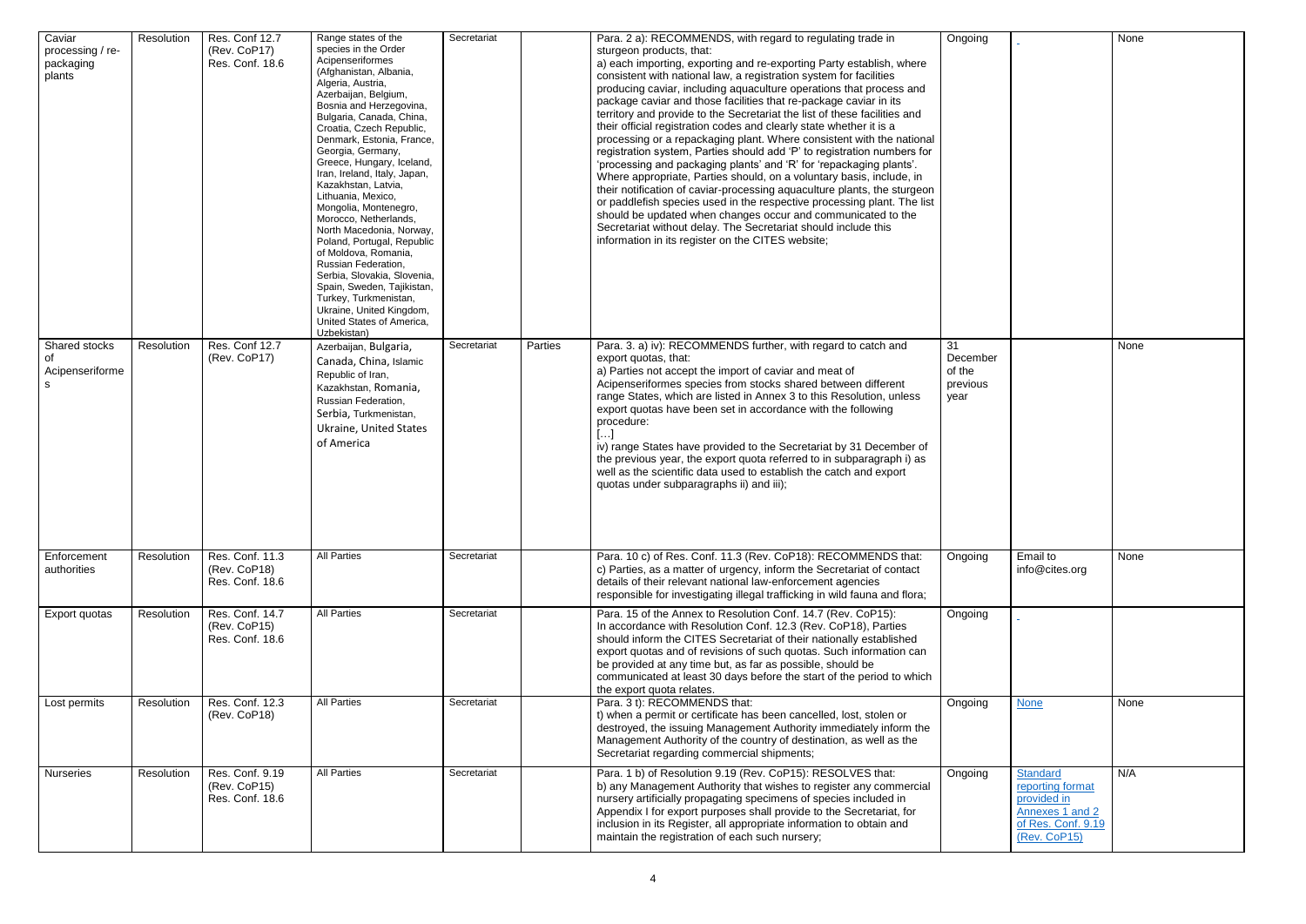| Caviar<br>processing / re-<br>packaging<br>plants | Resolution | Res. Conf 12.7<br>(Rev. CoP17)<br>Res. Conf. 18.6  | Range states of the<br>species in the Order<br>Acipenseriformes<br>(Afghanistan, Albania,<br>Algeria, Austria,<br>Azerbaijan, Belgium,<br>Bosnia and Herzegovina,<br>Bulgaria, Canada, China,<br>Croatia, Czech Republic,<br>Denmark, Estonia, France,<br>Georgia, Germany,<br>Greece, Hungary, Iceland,<br>Iran, Ireland, Italy, Japan,<br>Kazakhstan, Latvia,<br>Lithuania, Mexico,<br>Mongolia, Montenegro,<br>Morocco, Netherlands,<br>North Macedonia, Norway,<br>Poland, Portugal, Republic<br>of Moldova, Romania,<br>Russian Federation,<br>Serbia, Slovakia, Slovenia,<br>Spain, Sweden, Tajikistan,<br>Turkey, Turkmenistan,<br>Ukraine, United Kingdom,<br>United States of America,<br>Uzbekistan) | Secretariat |         | Para. 2 a): RECOMMENDS, with regard to regulating trade in<br>sturgeon products, that:<br>a) each importing, exporting and re-exporting Party establish, where<br>consistent with national law, a registration system for facilities<br>producing caviar, including aquaculture operations that process and<br>package caviar and those facilities that re-package caviar in its<br>territory and provide to the Secretariat the list of these facilities and<br>their official registration codes and clearly state whether it is a<br>processing or a repackaging plant. Where consistent with the national<br>registration system, Parties should add 'P' to registration numbers for<br>'processing and packaging plants' and 'R' for 'repackaging plants'.<br>Where appropriate, Parties should, on a voluntary basis, include, in<br>their notification of caviar-processing aquaculture plants, the sturgeon<br>or paddlefish species used in the respective processing plant. The list<br>should be updated when changes occur and communicated to the<br>Secretariat without delay. The Secretariat should include this<br>information in its register on the CITES website; | Ongoing                                      |
|---------------------------------------------------|------------|----------------------------------------------------|----------------------------------------------------------------------------------------------------------------------------------------------------------------------------------------------------------------------------------------------------------------------------------------------------------------------------------------------------------------------------------------------------------------------------------------------------------------------------------------------------------------------------------------------------------------------------------------------------------------------------------------------------------------------------------------------------------------|-------------|---------|---------------------------------------------------------------------------------------------------------------------------------------------------------------------------------------------------------------------------------------------------------------------------------------------------------------------------------------------------------------------------------------------------------------------------------------------------------------------------------------------------------------------------------------------------------------------------------------------------------------------------------------------------------------------------------------------------------------------------------------------------------------------------------------------------------------------------------------------------------------------------------------------------------------------------------------------------------------------------------------------------------------------------------------------------------------------------------------------------------------------------------------------------------------------------------------|----------------------------------------------|
| Shared stocks<br>οf<br>Acipenseriforme<br>s       | Resolution | <b>Res. Conf 12.7</b><br>(Rev. CoP17)              | Azerbaijan, Bulgaria,<br>Canada, China, Islamic<br>Republic of Iran,<br>Kazakhstan, Romania,<br>Russian Federation,<br>Serbia, Turkmenistan,<br>Ukraine, United States<br>of America                                                                                                                                                                                                                                                                                                                                                                                                                                                                                                                           | Secretariat | Parties | Para. 3. a) iv): RECOMMENDS further, with regard to catch and<br>export quotas, that:<br>a) Parties not accept the import of caviar and meat of<br>Acipenseriformes species from stocks shared between different<br>range States, which are listed in Annex 3 to this Resolution, unless<br>export quotas have been set in accordance with the following<br>procedure:<br>$[\ldots]$<br>iv) range States have provided to the Secretariat by 31 December of<br>the previous year, the export quota referred to in subparagraph i) as<br>well as the scientific data used to establish the catch and export<br>quotas under subparagraphs ii) and iii);                                                                                                                                                                                                                                                                                                                                                                                                                                                                                                                                | 31<br>December<br>of the<br>previous<br>year |
| Enforcement<br>authorities                        | Resolution | Res. Conf. 11.3<br>(Rev. CoP18)<br>Res. Conf. 18.6 | <b>All Parties</b>                                                                                                                                                                                                                                                                                                                                                                                                                                                                                                                                                                                                                                                                                             | Secretariat |         | Para. 10 c) of Res. Conf. 11.3 (Rev. CoP18): RECOMMENDS that:<br>c) Parties, as a matter of urgency, inform the Secretariat of contact<br>details of their relevant national law-enforcement agencies<br>responsible for investigating illegal trafficking in wild fauna and flora;                                                                                                                                                                                                                                                                                                                                                                                                                                                                                                                                                                                                                                                                                                                                                                                                                                                                                                   | Ongoing                                      |
| Export quotas                                     | Resolution | Res. Conf. 14.7<br>(Rev. CoP15)<br>Res. Conf. 18.6 | <b>All Parties</b>                                                                                                                                                                                                                                                                                                                                                                                                                                                                                                                                                                                                                                                                                             | Secretariat |         | Para. 15 of the Annex to Resolution Conf. 14.7 (Rev. CoP15):<br>In accordance with Resolution Conf. 12.3 (Rev. CoP18), Parties<br>should inform the CITES Secretariat of their nationally established<br>export quotas and of revisions of such quotas. Such information can<br>be provided at any time but, as far as possible, should be<br>communicated at least 30 days before the start of the period to which<br>the export quota relates.                                                                                                                                                                                                                                                                                                                                                                                                                                                                                                                                                                                                                                                                                                                                      | Ongoing                                      |
| Lost permits                                      | Resolution | Res. Conf. 12.3<br>(Rev. CoP18)                    | <b>All Parties</b>                                                                                                                                                                                                                                                                                                                                                                                                                                                                                                                                                                                                                                                                                             | Secretariat |         | Para. 3 t): RECOMMENDS that:<br>t) when a permit or certificate has been cancelled, lost, stolen or<br>destroyed, the issuing Management Authority immediately inform the<br>Management Authority of the country of destination, as well as the<br>Secretariat regarding commercial shipments;                                                                                                                                                                                                                                                                                                                                                                                                                                                                                                                                                                                                                                                                                                                                                                                                                                                                                        | Ongoing                                      |
| <b>Nurseries</b>                                  | Resolution | Res. Conf. 9.19<br>(Rev. CoP15)<br>Res. Conf. 18.6 | <b>All Parties</b>                                                                                                                                                                                                                                                                                                                                                                                                                                                                                                                                                                                                                                                                                             | Secretariat |         | Para. 1 b) of Resolution 9.19 (Rev. CoP15): RESOLVES that:<br>b) any Management Authority that wishes to register any commercial<br>nursery artificially propagating specimens of species included in<br>Appendix I for export purposes shall provide to the Secretariat, for<br>inclusion in its Register, all appropriate information to obtain and<br>maintain the registration of each such nursery;                                                                                                                                                                                                                                                                                                                                                                                                                                                                                                                                                                                                                                                                                                                                                                              | Ongoing                                      |

| Ongoing         |                                    | <b>None</b> |
|-----------------|------------------------------------|-------------|
|                 |                                    |             |
|                 |                                    |             |
|                 |                                    |             |
|                 |                                    |             |
|                 |                                    |             |
|                 |                                    |             |
|                 |                                    |             |
|                 |                                    |             |
|                 |                                    |             |
|                 |                                    |             |
|                 |                                    |             |
|                 |                                    |             |
|                 |                                    |             |
|                 |                                    |             |
|                 |                                    |             |
|                 |                                    |             |
|                 |                                    |             |
|                 |                                    |             |
| $\overline{31}$ |                                    |             |
| December        |                                    | None        |
| of the          |                                    |             |
| previous        |                                    |             |
| year            |                                    |             |
|                 |                                    |             |
|                 |                                    |             |
|                 |                                    |             |
|                 |                                    |             |
|                 |                                    |             |
|                 |                                    |             |
|                 |                                    |             |
|                 |                                    |             |
|                 |                                    |             |
| Ongoing         | Email to                           | None        |
|                 | info@cites.org                     |             |
|                 |                                    |             |
| Ongoing         |                                    |             |
|                 |                                    |             |
|                 |                                    |             |
|                 |                                    |             |
|                 |                                    |             |
|                 |                                    |             |
| Ongoing         | <b>None</b>                        | None        |
|                 |                                    |             |
|                 |                                    |             |
|                 |                                    |             |
| Ongoing         | Standard                           | N/A         |
|                 | reporting format                   |             |
|                 | provided in                        |             |
|                 | Annexes 1 and 2                    |             |
|                 | of Res. Conf. 9.19<br>(Rev. CoP15) |             |
|                 |                                    |             |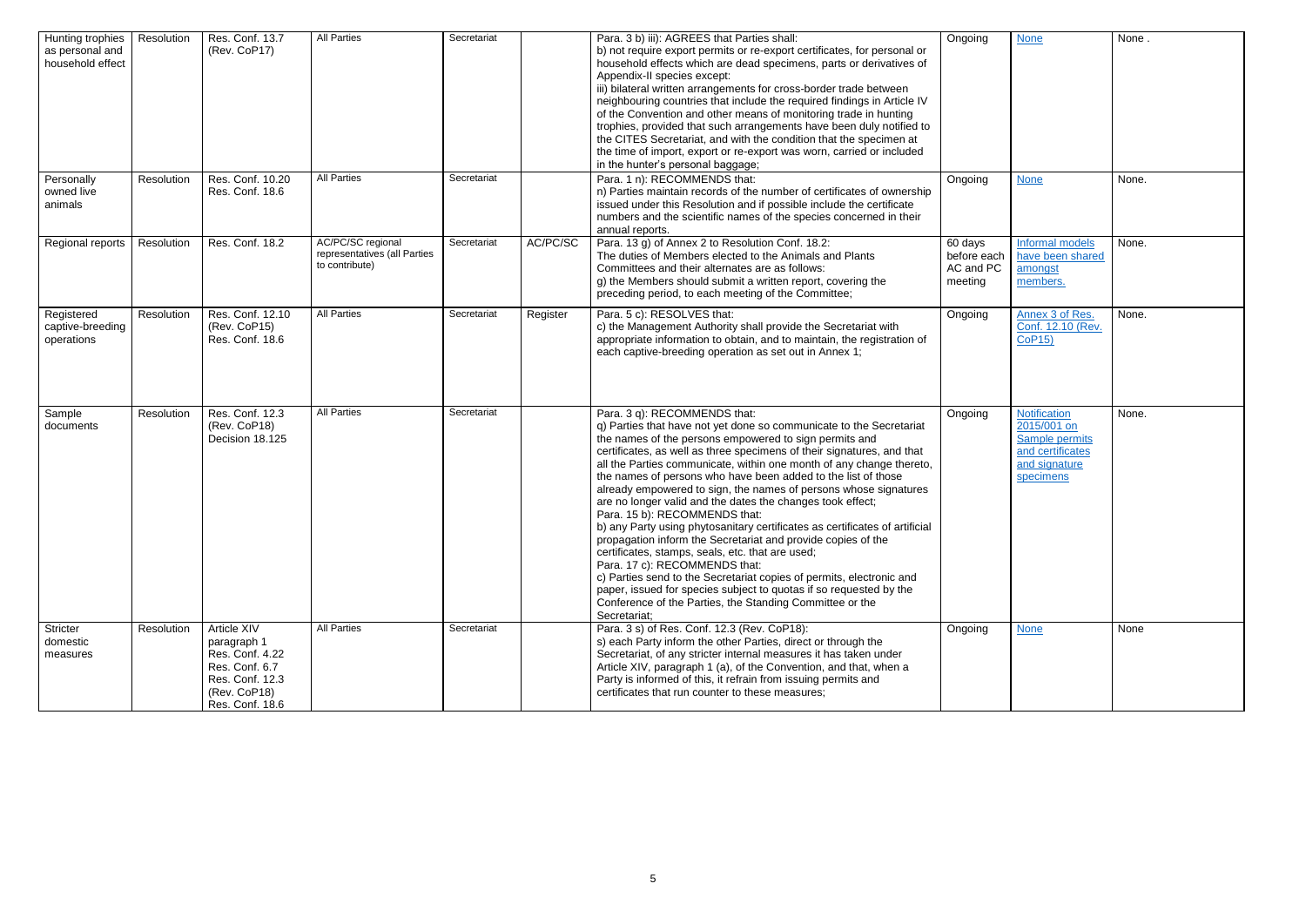| Ongoing                                        | <b>None</b>                                                                                                   | None. |
|------------------------------------------------|---------------------------------------------------------------------------------------------------------------|-------|
| Ongoing                                        | <b>None</b>                                                                                                   | None. |
| 60 days<br>before each<br>AC and PC<br>meeting | Informal models<br>have been shared<br>amongst<br>members.                                                    | None. |
| Ongoing                                        | Annex 3 of Res.<br>Conf. 12.10 (Rev.<br><b>CoP15)</b>                                                         | None. |
| Ongoing                                        | <b>Notification</b><br>2015/001 on<br><b>Sample permits</b><br>and certificates<br>and signature<br>specimens | None. |
| Ongoing                                        | <b>None</b>                                                                                                   | None  |

| Hunting trophies<br>as personal and<br>household effect<br>Personally | Resolution<br>Resolution | Res. Conf. 13.7<br>(Rev. CoP17)<br>Res. Conf. 10.20                                                                   | <b>All Parties</b><br><b>All Parties</b>                            | Secretariat<br>Secretariat |          | Para. 3 b) iii): AGREES that Parties shall:<br>b) not require export permits or re-export certificates, for personal or<br>household effects which are dead specimens, parts or derivatives of<br>Appendix-II species except:<br>iii) bilateral written arrangements for cross-border trade between<br>neighbouring countries that include the required findings in Article IV<br>of the Convention and other means of monitoring trade in hunting<br>trophies, provided that such arrangements have been duly notified to<br>the CITES Secretariat, and with the condition that the specimen at<br>the time of import, export or re-export was worn, carried or included<br>in the hunter's personal baggage;<br>Para. 1 n): RECOMMENDS that:                                                                                                                                                                                                                                                                    | Ongoing<br>Ongoing                             |
|-----------------------------------------------------------------------|--------------------------|-----------------------------------------------------------------------------------------------------------------------|---------------------------------------------------------------------|----------------------------|----------|-------------------------------------------------------------------------------------------------------------------------------------------------------------------------------------------------------------------------------------------------------------------------------------------------------------------------------------------------------------------------------------------------------------------------------------------------------------------------------------------------------------------------------------------------------------------------------------------------------------------------------------------------------------------------------------------------------------------------------------------------------------------------------------------------------------------------------------------------------------------------------------------------------------------------------------------------------------------------------------------------------------------|------------------------------------------------|
| owned live<br>animals                                                 |                          | Res. Conf. 18.6                                                                                                       |                                                                     |                            |          | n) Parties maintain records of the number of certificates of ownership<br>issued under this Resolution and if possible include the certificate<br>numbers and the scientific names of the species concerned in their<br>annual reports.                                                                                                                                                                                                                                                                                                                                                                                                                                                                                                                                                                                                                                                                                                                                                                           |                                                |
| Regional reports                                                      | Resolution               | Res. Conf. 18.2                                                                                                       | AC/PC/SC regional<br>representatives (all Parties<br>to contribute) | Secretariat                | AC/PC/SC | Para. 13 g) of Annex 2 to Resolution Conf. 18.2:<br>The duties of Members elected to the Animals and Plants<br>Committees and their alternates are as follows:<br>g) the Members should submit a written report, covering the<br>preceding period, to each meeting of the Committee;                                                                                                                                                                                                                                                                                                                                                                                                                                                                                                                                                                                                                                                                                                                              | 60 days<br>before each<br>AC and PC<br>meeting |
| Registered<br>captive-breeding<br>operations                          | Resolution               | Res. Conf. 12.10<br>(Rev. CoP15)<br>Res. Conf. 18.6                                                                   | <b>All Parties</b>                                                  | Secretariat                | Register | Para. 5 c): RESOLVES that:<br>c) the Management Authority shall provide the Secretariat with<br>appropriate information to obtain, and to maintain, the registration of<br>each captive-breeding operation as set out in Annex 1;                                                                                                                                                                                                                                                                                                                                                                                                                                                                                                                                                                                                                                                                                                                                                                                 | Ongoing                                        |
| Sample<br>documents                                                   | Resolution               | Res. Conf. 12.3<br>(Rev. CoP18)<br>Decision 18.125                                                                    | <b>All Parties</b>                                                  | Secretariat                |          | Para. 3 q): RECOMMENDS that:<br>q) Parties that have not yet done so communicate to the Secretariat<br>the names of the persons empowered to sign permits and<br>certificates, as well as three specimens of their signatures, and that<br>all the Parties communicate, within one month of any change thereto,<br>the names of persons who have been added to the list of those<br>already empowered to sign, the names of persons whose signatures<br>are no longer valid and the dates the changes took effect;<br>Para. 15 b): RECOMMENDS that:<br>b) any Party using phytosanitary certificates as certificates of artificial<br>propagation inform the Secretariat and provide copies of the<br>certificates, stamps, seals, etc. that are used;<br>Para. 17 c): RECOMMENDS that:<br>c) Parties send to the Secretariat copies of permits, electronic and<br>paper, issued for species subject to quotas if so requested by the<br>Conference of the Parties, the Standing Committee or the<br>Secretariat; | Ongoing                                        |
| Stricter<br>domestic<br>measures                                      | Resolution               | Article XIV<br>paragraph 1<br>Res. Conf. 4.22<br>Res. Conf. 6.7<br>Res. Conf. 12.3<br>(Rev. CoP18)<br>Res. Conf. 18.6 | <b>All Parties</b>                                                  | Secretariat                |          | Para. 3 s) of Res. Conf. 12.3 (Rev. CoP18):<br>s) each Party inform the other Parties, direct or through the<br>Secretariat, of any stricter internal measures it has taken under<br>Article XIV, paragraph 1 (a), of the Convention, and that, when a<br>Party is informed of this, it refrain from issuing permits and<br>certificates that run counter to these measures;                                                                                                                                                                                                                                                                                                                                                                                                                                                                                                                                                                                                                                      | Ongoing                                        |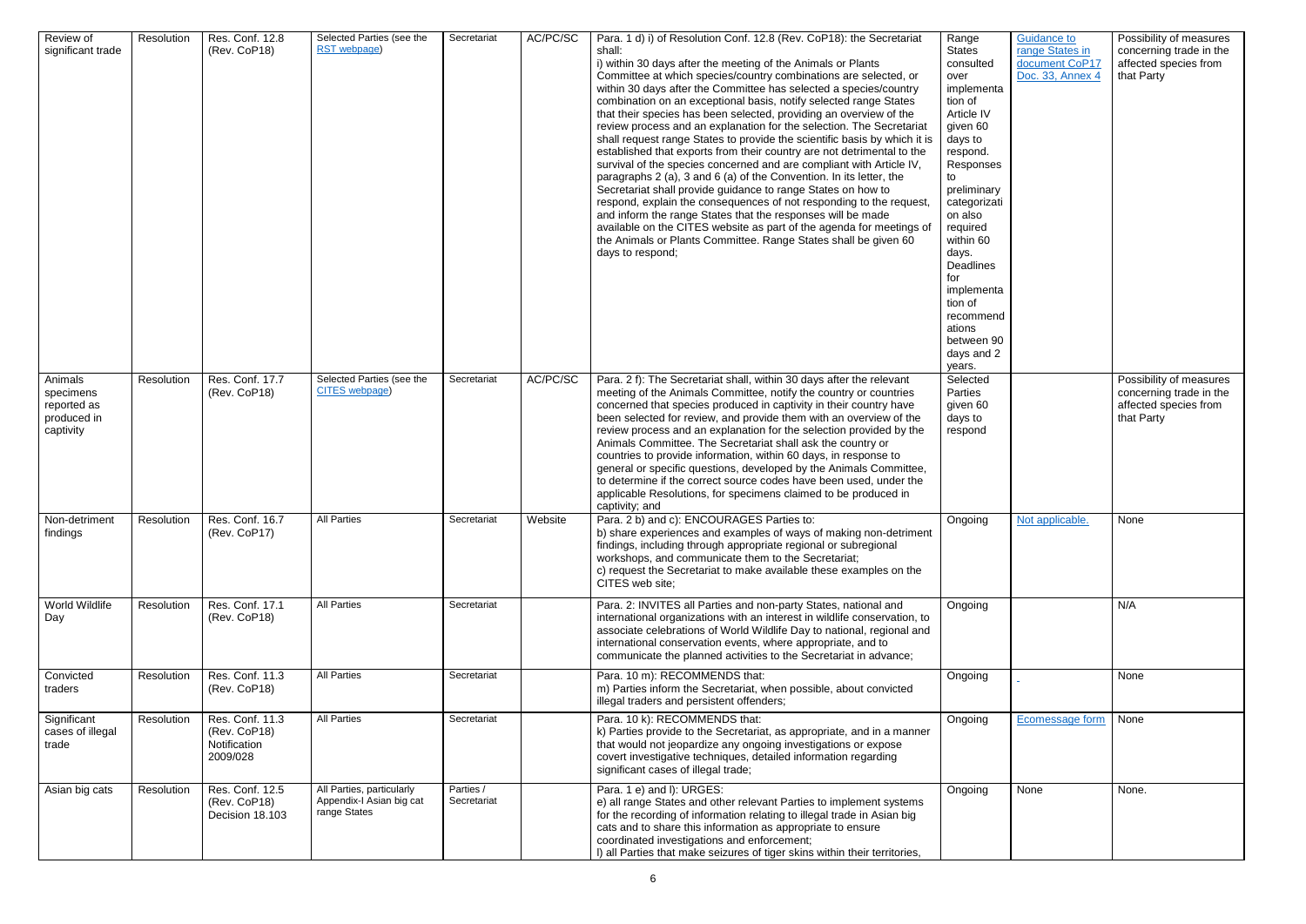| Review of<br>significant trade                                  | Resolution | Res. Conf. 12.8<br>(Rev. CoP18)                             | Selected Parties (see the<br>RST webpage)                             | Secretariat              | AC/PC/SC | Para. 1 d) i) of Resolution Conf. 12.8 (Rev. CoP18): the Secretariat<br>shall:<br>i) within 30 days after the meeting of the Animals or Plants<br>Committee at which species/country combinations are selected, or<br>within 30 days after the Committee has selected a species/country<br>combination on an exceptional basis, notify selected range States<br>that their species has been selected, providing an overview of the<br>review process and an explanation for the selection. The Secretariat<br>shall request range States to provide the scientific basis by which it is<br>established that exports from their country are not detrimental to the<br>survival of the species concerned and are compliant with Article IV,<br>paragraphs 2 (a), 3 and 6 (a) of the Convention. In its letter, the<br>Secretariat shall provide guidance to range States on how to<br>respond, explain the consequences of not responding to the request<br>and inform the range States that the responses will be made<br>available on the CITES website as part of the agenda for meetings of<br>the Animals or Plants Committee. Range States shall be given 60<br>days to respond; | Range<br><b>States</b><br>consulted<br>over<br>implementa<br>tion of<br>Article IV<br>given 60<br>days to<br>respond.<br>Responses<br>to<br>preliminary<br>categorizati<br>on also<br>required<br>within 60<br>days.<br>Deadlines<br>for<br>implementa<br>tion of<br>recommend<br>ations<br>between 90<br>days and 2<br>years. | <b>Guidance to</b><br>range States in<br>document CoP17<br>Doc. 33, Annex 4 | Possibility of measures<br>concerning trade in the<br>affected species from<br>that Party |
|-----------------------------------------------------------------|------------|-------------------------------------------------------------|-----------------------------------------------------------------------|--------------------------|----------|--------------------------------------------------------------------------------------------------------------------------------------------------------------------------------------------------------------------------------------------------------------------------------------------------------------------------------------------------------------------------------------------------------------------------------------------------------------------------------------------------------------------------------------------------------------------------------------------------------------------------------------------------------------------------------------------------------------------------------------------------------------------------------------------------------------------------------------------------------------------------------------------------------------------------------------------------------------------------------------------------------------------------------------------------------------------------------------------------------------------------------------------------------------------------------------|--------------------------------------------------------------------------------------------------------------------------------------------------------------------------------------------------------------------------------------------------------------------------------------------------------------------------------|-----------------------------------------------------------------------------|-------------------------------------------------------------------------------------------|
| Animals<br>specimens<br>reported as<br>produced in<br>captivity | Resolution | Res. Conf. 17.7<br>(Rev. CoP18)                             | Selected Parties (see the<br>CITES webpage)                           | Secretariat              | AC/PC/SC | Para. 2 f): The Secretariat shall, within 30 days after the relevant<br>meeting of the Animals Committee, notify the country or countries<br>concerned that species produced in captivity in their country have<br>been selected for review, and provide them with an overview of the<br>review process and an explanation for the selection provided by the<br>Animals Committee. The Secretariat shall ask the country or<br>countries to provide information, within 60 days, in response to<br>general or specific questions, developed by the Animals Committee,<br>to determine if the correct source codes have been used, under the<br>applicable Resolutions, for specimens claimed to be produced in<br>captivity; and                                                                                                                                                                                                                                                                                                                                                                                                                                                     | Selected<br>Parties<br>given 60<br>days to<br>respond                                                                                                                                                                                                                                                                          |                                                                             | Possibility of measures<br>concerning trade in the<br>affected species from<br>that Party |
| Non-detriment<br>findings                                       | Resolution | Res. Conf. 16.7<br>(Rev. CoP17)                             | All Parties                                                           | Secretariat              | Website  | Para. 2 b) and c): ENCOURAGES Parties to:<br>b) share experiences and examples of ways of making non-detriment<br>findings, including through appropriate regional or subregional<br>workshops, and communicate them to the Secretariat;<br>c) request the Secretariat to make available these examples on the<br>CITES web site;                                                                                                                                                                                                                                                                                                                                                                                                                                                                                                                                                                                                                                                                                                                                                                                                                                                    | Ongoing                                                                                                                                                                                                                                                                                                                        | <u>Not applicable.</u>                                                      | None                                                                                      |
| World Wildlife<br>Day                                           | Resolution | Res. Conf. 17.1<br>(Rev. CoP18)                             | <b>All Parties</b>                                                    | Secretariat              |          | Para. 2: INVITES all Parties and non-party States, national and<br>international organizations with an interest in wildlife conservation, to<br>associate celebrations of World Wildlife Day to national, regional and<br>international conservation events, where appropriate, and to<br>communicate the planned activities to the Secretariat in advance;                                                                                                                                                                                                                                                                                                                                                                                                                                                                                                                                                                                                                                                                                                                                                                                                                          | Ongoing                                                                                                                                                                                                                                                                                                                        |                                                                             | N/A                                                                                       |
| Convicted<br>traders                                            | Resolution | Res. Conf. 11.3<br>(Rev. CoP18)                             | <b>All Parties</b>                                                    | Secretariat              |          | Para. 10 m): RECOMMENDS that:<br>m) Parties inform the Secretariat, when possible, about convicted<br>illegal traders and persistent offenders;                                                                                                                                                                                                                                                                                                                                                                                                                                                                                                                                                                                                                                                                                                                                                                                                                                                                                                                                                                                                                                      | Ongoing                                                                                                                                                                                                                                                                                                                        |                                                                             | None                                                                                      |
| Significant<br>cases of illegal<br>trade                        | Resolution | Res. Conf. 11.3<br>(Rev. CoP18)<br>Notification<br>2009/028 | <b>All Parties</b>                                                    | Secretariat              |          | Para. 10 k): RECOMMENDS that:<br>k) Parties provide to the Secretariat, as appropriate, and in a manner<br>that would not jeopardize any ongoing investigations or expose<br>covert investigative techniques, detailed information regarding<br>significant cases of illegal trade;                                                                                                                                                                                                                                                                                                                                                                                                                                                                                                                                                                                                                                                                                                                                                                                                                                                                                                  | Ongoing                                                                                                                                                                                                                                                                                                                        | Ecomessage form                                                             | None                                                                                      |
| Asian big cats                                                  | Resolution | Res. Conf. 12.5<br>(Rev. CoP18)<br>Decision 18.103          | All Parties, particularly<br>Appendix-I Asian big cat<br>range States | Parties /<br>Secretariat |          | Para. 1 e) and I): URGES:<br>e) all range States and other relevant Parties to implement systems<br>for the recording of information relating to illegal trade in Asian big<br>cats and to share this information as appropriate to ensure<br>coordinated investigations and enforcement;<br>I) all Parties that make seizures of tiger skins within their territories,                                                                                                                                                                                                                                                                                                                                                                                                                                                                                                                                                                                                                                                                                                                                                                                                              | Ongoing                                                                                                                                                                                                                                                                                                                        | None                                                                        | None.                                                                                     |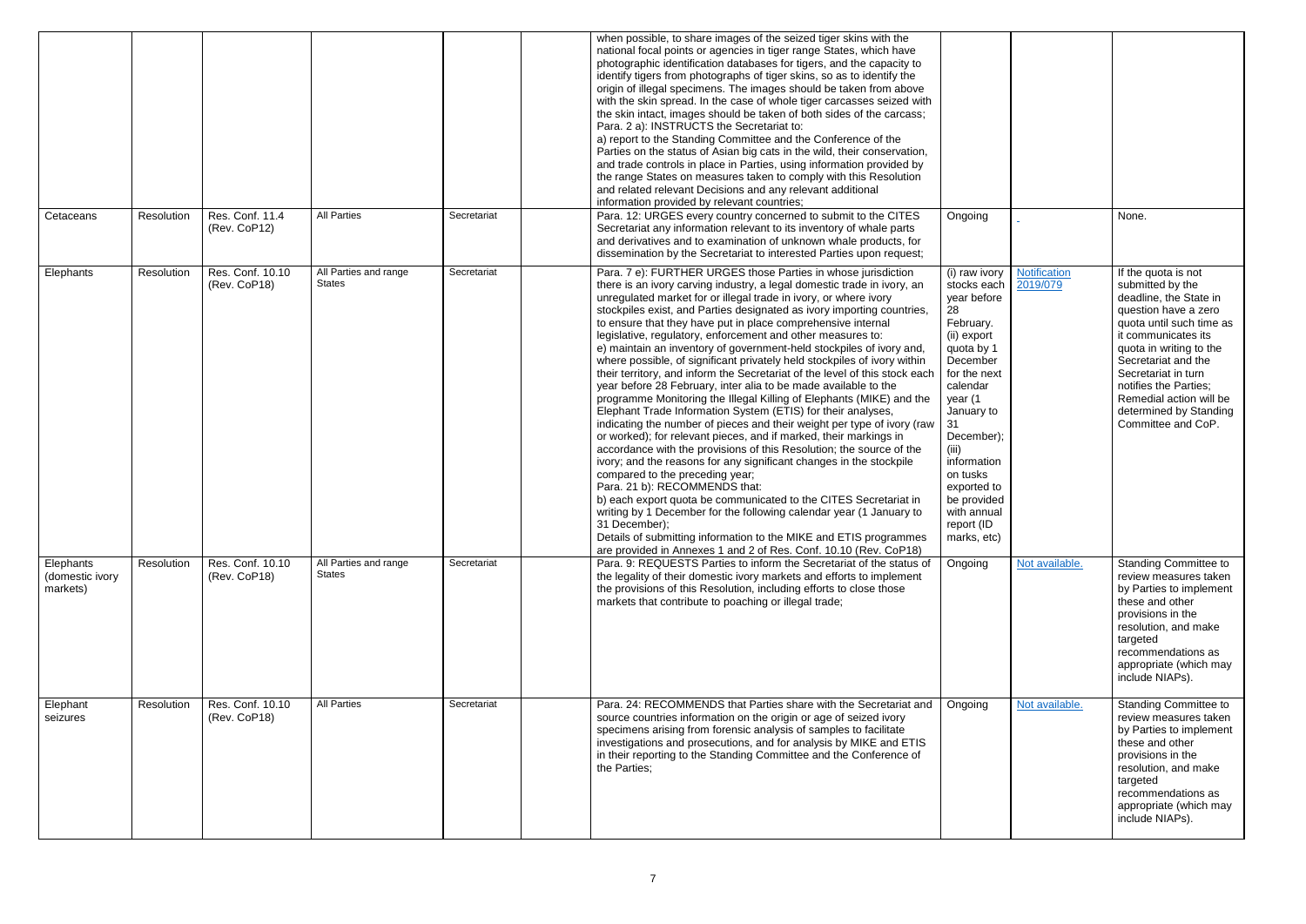|                                          |            |                                  |                                        |             | when possible, to share images of the seized tiger skins with the<br>national focal points or agencies in tiger range States, which have<br>photographic identification databases for tigers, and the capacity to<br>identify tigers from photographs of tiger skins, so as to identify the<br>origin of illegal specimens. The images should be taken from above<br>with the skin spread. In the case of whole tiger carcasses seized with<br>the skin intact, images should be taken of both sides of the carcass;<br>Para. 2 a): INSTRUCTS the Secretariat to:<br>a) report to the Standing Committee and the Conference of the<br>Parties on the status of Asian big cats in the wild, their conservation,<br>and trade controls in place in Parties, using information provided by<br>the range States on measures taken to comply with this Resolution<br>and related relevant Decisions and any relevant additional<br>information provided by relevant countries;                                                                                                                                                                                                                                                                                                                                                                                                                                                                                                                                                                   |                                                                                                                                                                                                                                                                                                |                          |                                                                                                                                                                                                                                                                                                                           |
|------------------------------------------|------------|----------------------------------|----------------------------------------|-------------|---------------------------------------------------------------------------------------------------------------------------------------------------------------------------------------------------------------------------------------------------------------------------------------------------------------------------------------------------------------------------------------------------------------------------------------------------------------------------------------------------------------------------------------------------------------------------------------------------------------------------------------------------------------------------------------------------------------------------------------------------------------------------------------------------------------------------------------------------------------------------------------------------------------------------------------------------------------------------------------------------------------------------------------------------------------------------------------------------------------------------------------------------------------------------------------------------------------------------------------------------------------------------------------------------------------------------------------------------------------------------------------------------------------------------------------------------------------------------------------------------------------------------------------------|------------------------------------------------------------------------------------------------------------------------------------------------------------------------------------------------------------------------------------------------------------------------------------------------|--------------------------|---------------------------------------------------------------------------------------------------------------------------------------------------------------------------------------------------------------------------------------------------------------------------------------------------------------------------|
| Cetaceans                                | Resolution | Res. Conf. 11.4<br>(Rev. CoP12)  | <b>All Parties</b>                     | Secretariat | Para. 12: URGES every country concerned to submit to the CITES<br>Secretariat any information relevant to its inventory of whale parts<br>and derivatives and to examination of unknown whale products, for<br>dissemination by the Secretariat to interested Parties upon request;                                                                                                                                                                                                                                                                                                                                                                                                                                                                                                                                                                                                                                                                                                                                                                                                                                                                                                                                                                                                                                                                                                                                                                                                                                                         | Ongoing                                                                                                                                                                                                                                                                                        |                          | None.                                                                                                                                                                                                                                                                                                                     |
| Elephants                                | Resolution | Res. Conf. 10.10<br>(Rev. CoP18) | All Parties and range<br><b>States</b> | Secretariat | Para. 7 e): FURTHER URGES those Parties in whose jurisdiction<br>there is an ivory carving industry, a legal domestic trade in ivory, an<br>unregulated market for or illegal trade in ivory, or where ivory<br>stockpiles exist, and Parties designated as ivory importing countries,<br>to ensure that they have put in place comprehensive internal<br>legislative, regulatory, enforcement and other measures to:<br>e) maintain an inventory of government-held stockpiles of ivory and,<br>where possible, of significant privately held stockpiles of ivory within<br>their territory, and inform the Secretariat of the level of this stock each<br>year before 28 February, inter alia to be made available to the<br>programme Monitoring the Illegal Killing of Elephants (MIKE) and the<br>Elephant Trade Information System (ETIS) for their analyses,<br>indicating the number of pieces and their weight per type of ivory (raw<br>or worked); for relevant pieces, and if marked, their markings in<br>accordance with the provisions of this Resolution; the source of the<br>ivory; and the reasons for any significant changes in the stockpile<br>compared to the preceding year;<br>Para. 21 b): RECOMMENDS that:<br>b) each export quota be communicated to the CITES Secretariat in<br>writing by 1 December for the following calendar year (1 January to<br>31 December);<br>Details of submitting information to the MIKE and ETIS programmes<br>are provided in Annexes 1 and 2 of Res. Conf. 10.10 (Rev. CoP18) | (i) raw ivory<br>stocks each<br>year before<br>28<br>February.<br>(ii) export<br>quota by 1<br>December<br>for the next<br>calendar<br>year (1<br>January to<br>31<br>December);<br>(iii)<br>information<br>on tusks<br>exported to<br>be provided<br>with annual<br>report (ID<br>marks, etc) | Notification<br>2019/079 | If the quota is not<br>submitted by the<br>deadline, the State in<br>question have a zero<br>quota until such time as<br>it communicates its<br>quota in writing to the<br>Secretariat and the<br>Secretariat in turn<br>notifies the Parties;<br>Remedial action will be<br>determined by Standing<br>Committee and CoP. |
| Elephants<br>(domestic ivory<br>markets) | Resolution | Res. Conf. 10.10<br>(Rev. CoP18) | All Parties and range<br><b>States</b> | Secretariat | Para. 9: REQUESTS Parties to inform the Secretariat of the status of<br>the legality of their domestic ivory markets and efforts to implement<br>the provisions of this Resolution, including efforts to close those<br>markets that contribute to poaching or illegal trade;                                                                                                                                                                                                                                                                                                                                                                                                                                                                                                                                                                                                                                                                                                                                                                                                                                                                                                                                                                                                                                                                                                                                                                                                                                                               | Ongoing                                                                                                                                                                                                                                                                                        | Not available.           | <b>Standing Committee to</b><br>review measures taken<br>by Parties to implement<br>these and other<br>provisions in the<br>resolution, and make<br>targeted<br>recommendations as<br>appropriate (which may<br>include NIAPs).                                                                                           |
| Elephant<br>seizures                     | Resolution | Res. Conf. 10.10<br>(Rev. CoP18) | <b>All Parties</b>                     | Secretariat | Para, 24: RECOMMENDS that Parties share with the Secretariat and<br>source countries information on the origin or age of seized ivory<br>specimens arising from forensic analysis of samples to facilitate<br>investigations and prosecutions, and for analysis by MIKE and ETIS<br>in their reporting to the Standing Committee and the Conference of<br>the Parties;                                                                                                                                                                                                                                                                                                                                                                                                                                                                                                                                                                                                                                                                                                                                                                                                                                                                                                                                                                                                                                                                                                                                                                      | Ongoing                                                                                                                                                                                                                                                                                        | Not available.           | <b>Standing Committee to</b><br>review measures taken<br>by Parties to implement<br>these and other<br>provisions in the<br>resolution, and make<br>targeted<br>recommendations as<br>appropriate (which may<br>include NIAPs).                                                                                           |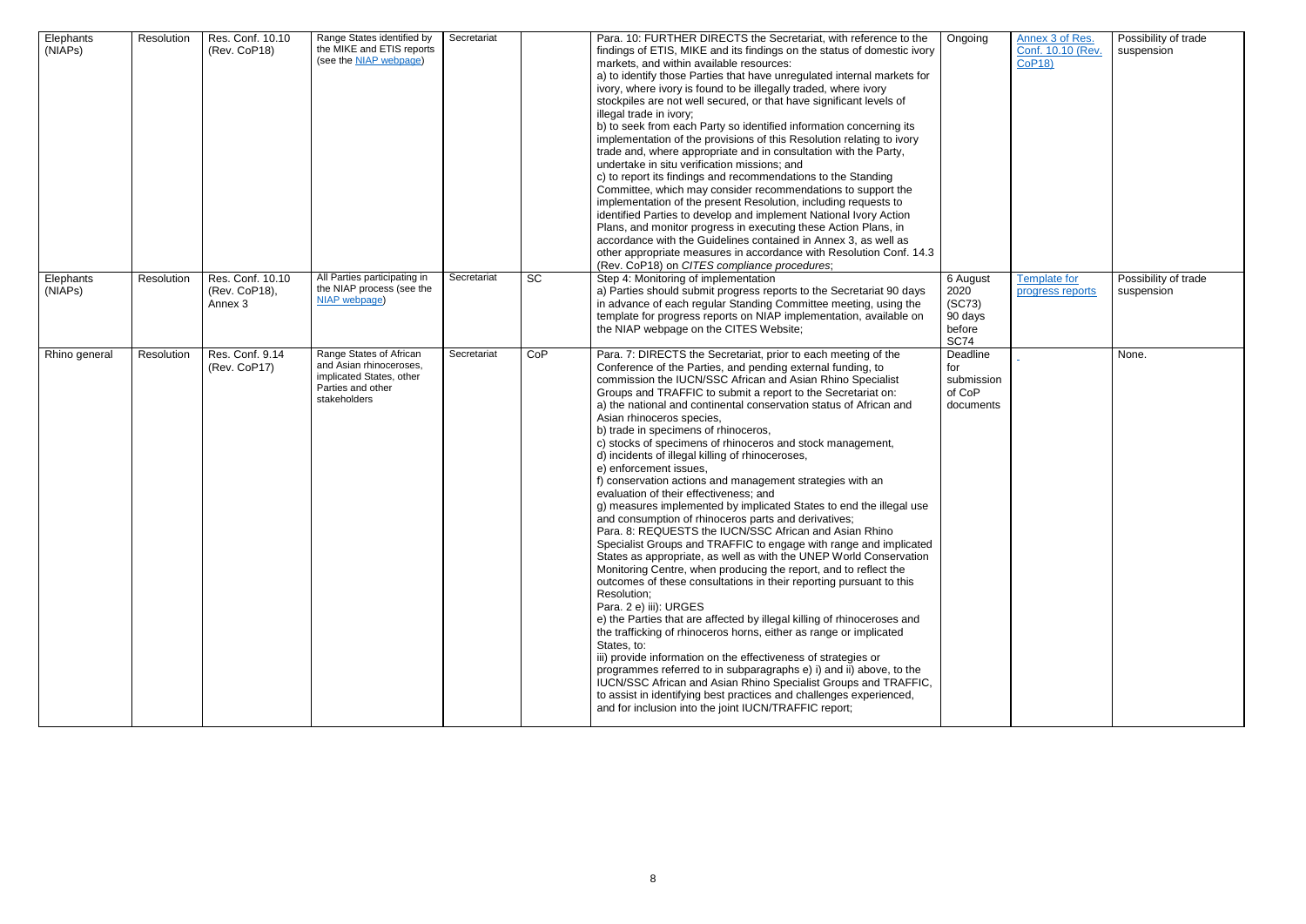| Elephants<br>(NIAPs) | Resolution | Res. Conf. 10.10<br>(Rev. CoP18)             | Range States identified by<br>the MIKE and ETIS reports<br>(see the <b>NIAP</b> webpage)                            | Secretariat |           | Para. 10: FURTHER DIRECTS the Secretariat, with reference to the<br>findings of ETIS, MIKE and its findings on the status of domestic ivory<br>markets, and within available resources:<br>a) to identify those Parties that have unregulated internal markets for<br>ivory, where ivory is found to be illegally traded, where ivory<br>stockpiles are not well secured, or that have significant levels of<br>illegal trade in ivory;<br>b) to seek from each Party so identified information concerning its<br>implementation of the provisions of this Resolution relating to ivory<br>trade and, where appropriate and in consultation with the Party,<br>undertake in situ verification missions; and<br>c) to report its findings and recommendations to the Standing<br>Committee, which may consider recommendations to support the<br>implementation of the present Resolution, including requests to<br>identified Parties to develop and implement National Ivory Action<br>Plans, and monitor progress in executing these Action Plans, in<br>accordance with the Guidelines contained in Annex 3, as well as<br>other appropriate measures in accordance with Resolution Conf. 14.3<br>(Rev. CoP18) on CITES compliance procedures;                                                                                                                                                                                                                                                                                                                                                                                                                                             | Ongoing                                                        |
|----------------------|------------|----------------------------------------------|---------------------------------------------------------------------------------------------------------------------|-------------|-----------|-----------------------------------------------------------------------------------------------------------------------------------------------------------------------------------------------------------------------------------------------------------------------------------------------------------------------------------------------------------------------------------------------------------------------------------------------------------------------------------------------------------------------------------------------------------------------------------------------------------------------------------------------------------------------------------------------------------------------------------------------------------------------------------------------------------------------------------------------------------------------------------------------------------------------------------------------------------------------------------------------------------------------------------------------------------------------------------------------------------------------------------------------------------------------------------------------------------------------------------------------------------------------------------------------------------------------------------------------------------------------------------------------------------------------------------------------------------------------------------------------------------------------------------------------------------------------------------------------------------------------------------------------------------------------------------------------|----------------------------------------------------------------|
| Elephants<br>(NIAPs) | Resolution | Res. Conf. 10.10<br>(Rev. CoP18),<br>Annex 3 | All Parties participating in<br>the NIAP process (see the<br>NIAP webpage)                                          | Secretariat | <b>SC</b> | Step 4: Monitoring of implementation<br>a) Parties should submit progress reports to the Secretariat 90 days<br>in advance of each regular Standing Committee meeting, using the<br>template for progress reports on NIAP implementation, available on<br>the NIAP webpage on the CITES Website;                                                                                                                                                                                                                                                                                                                                                                                                                                                                                                                                                                                                                                                                                                                                                                                                                                                                                                                                                                                                                                                                                                                                                                                                                                                                                                                                                                                              | 6 August<br>2020<br>(SC73)<br>90 days<br>before<br><b>SC74</b> |
| Rhino general        | Resolution | Res. Conf. 9.14<br>(Rev. CoP17)              | Range States of African<br>and Asian rhinoceroses,<br>implicated States, other<br>Parties and other<br>stakeholders | Secretariat | CoP       | Para. 7: DIRECTS the Secretariat, prior to each meeting of the<br>Conference of the Parties, and pending external funding, to<br>commission the IUCN/SSC African and Asian Rhino Specialist<br>Groups and TRAFFIC to submit a report to the Secretariat on:<br>a) the national and continental conservation status of African and<br>Asian rhinoceros species,<br>b) trade in specimens of rhinoceros,<br>c) stocks of specimens of rhinoceros and stock management,<br>d) incidents of illegal killing of rhinoceroses,<br>e) enforcement issues,<br>f) conservation actions and management strategies with an<br>evaluation of their effectiveness; and<br>g) measures implemented by implicated States to end the illegal use<br>and consumption of rhinoceros parts and derivatives;<br>Para. 8: REQUESTS the IUCN/SSC African and Asian Rhino<br>Specialist Groups and TRAFFIC to engage with range and implicated<br>States as appropriate, as well as with the UNEP World Conservation<br>Monitoring Centre, when producing the report, and to reflect the<br>outcomes of these consultations in their reporting pursuant to this<br>Resolution;<br>Para. 2 e) iii): URGES<br>e) the Parties that are affected by illegal killing of rhinoceroses and<br>the trafficking of rhinoceros horns, either as range or implicated<br>States, to:<br>iii) provide information on the effectiveness of strategies or<br>programmes referred to in subparagraphs e) i) and ii) above, to the<br>IUCN/SSC African and Asian Rhino Specialist Groups and TRAFFIC,<br>to assist in identifying best practices and challenges experienced,<br>and for inclusion into the joint IUCN/TRAFFIC report; | Deadline<br>for<br>submission<br>of CoP<br>documents           |

| Ongoing                                                       | Annex 3 of Res.<br>Conf. 10.10 (Rev.<br><b>CoP18)</b> | Possibility of trade<br>suspension |
|---------------------------------------------------------------|-------------------------------------------------------|------------------------------------|
| <b>6 August</b><br>2020<br>SC73)<br>90 days<br>before<br>SC74 | <b>Template for</b><br>progress reports               | Possibility of trade<br>suspension |
| Deadline<br>for<br>submission<br>of CoP<br>documents          |                                                       | None.                              |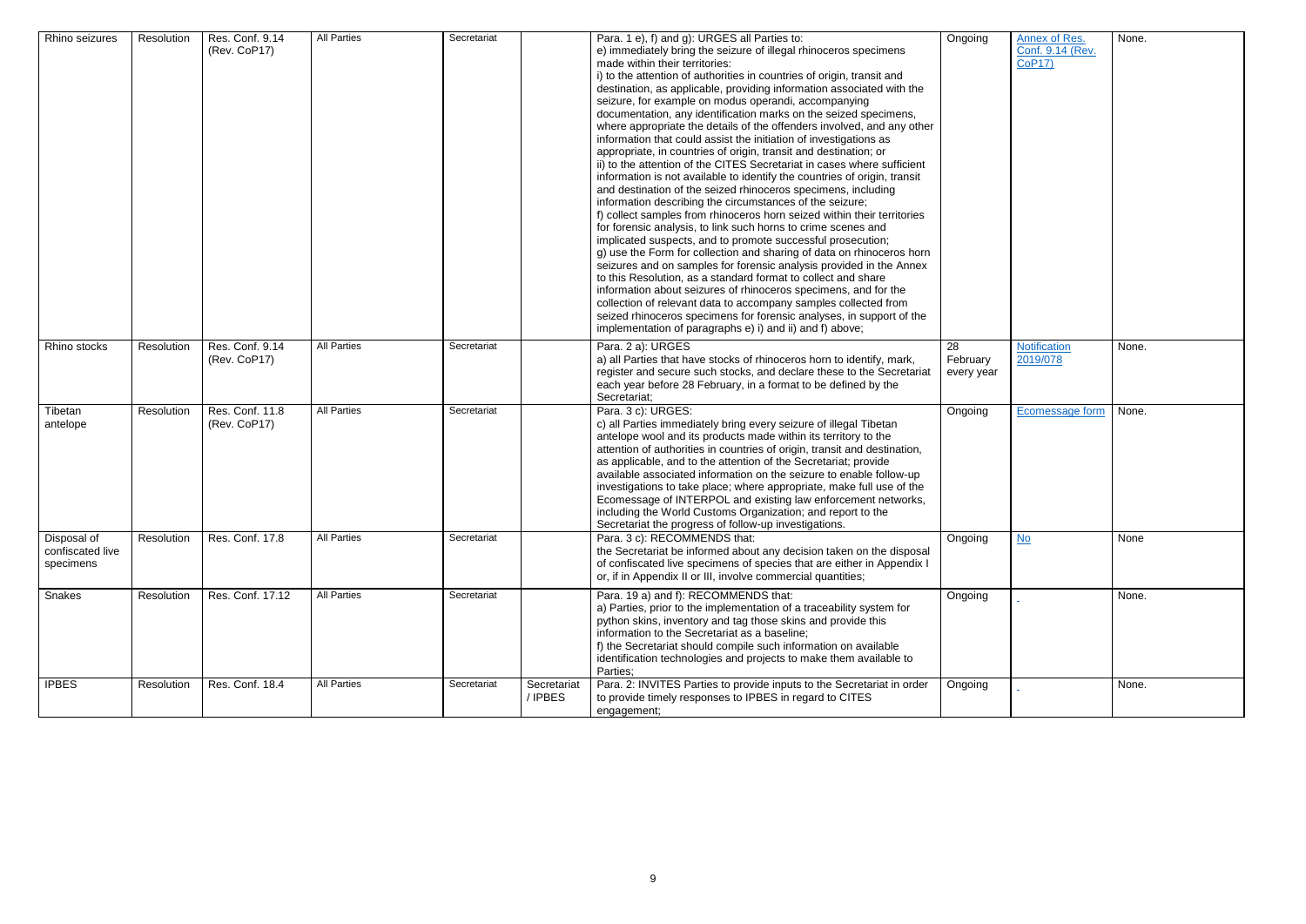| Ongoing         | <b>Annex of Res.</b>              | None. |
|-----------------|-----------------------------------|-------|
|                 | Conf. 9.14 (Rev.<br><b>CoP17)</b> |       |
|                 |                                   |       |
|                 |                                   |       |
|                 |                                   |       |
|                 |                                   |       |
|                 |                                   |       |
|                 |                                   |       |
|                 |                                   |       |
|                 |                                   |       |
|                 |                                   |       |
|                 |                                   |       |
|                 |                                   |       |
|                 |                                   |       |
|                 |                                   |       |
|                 |                                   |       |
|                 |                                   |       |
|                 |                                   |       |
|                 |                                   |       |
|                 |                                   |       |
|                 |                                   |       |
|                 |                                   |       |
|                 |                                   |       |
| $\overline{28}$ | <b>Notification</b>               | None. |
| February        | 2019/078                          |       |
| every year      |                                   |       |
|                 |                                   |       |
|                 |                                   |       |
| Ongoing         | Ecomessage form                   | None. |
|                 |                                   |       |
|                 |                                   |       |
|                 |                                   |       |
|                 |                                   |       |
|                 |                                   |       |
|                 |                                   |       |
|                 |                                   |       |
|                 |                                   |       |
|                 |                                   |       |
| Ongoing         | $No$                              | None  |
|                 |                                   |       |
|                 |                                   |       |
|                 |                                   |       |
| Ongoing         |                                   | None. |
|                 |                                   |       |
|                 |                                   |       |
|                 |                                   |       |
|                 |                                   |       |
|                 |                                   |       |
|                 |                                   |       |
| Ongoing         |                                   | None. |
|                 |                                   |       |
|                 |                                   |       |

| Rhino seizures                               | Resolution | Res. Conf. 9.14<br>(Rev. CoP17) | <b>All Parties</b> | Secretariat |                        | Para. 1 e), f) and g): URGES all Parties to:<br>e) immediately bring the seizure of illegal rhinoceros specimens<br>made within their territories:<br>i) to the attention of authorities in countries of origin, transit and<br>destination, as applicable, providing information associated with the<br>seizure, for example on modus operandi, accompanying<br>documentation, any identification marks on the seized specimens,<br>where appropriate the details of the offenders involved, and any other<br>information that could assist the initiation of investigations as<br>appropriate, in countries of origin, transit and destination; or<br>ii) to the attention of the CITES Secretariat in cases where sufficient<br>information is not available to identify the countries of origin, transit<br>and destination of the seized rhinoceros specimens, including<br>information describing the circumstances of the seizure;<br>f) collect samples from rhinoceros horn seized within their territories<br>for forensic analysis, to link such horns to crime scenes and<br>implicated suspects, and to promote successful prosecution;<br>g) use the Form for collection and sharing of data on rhinoceros horn<br>seizures and on samples for forensic analysis provided in the Annex<br>to this Resolution, as a standard format to collect and share<br>information about seizures of rhinoceros specimens, and for the<br>collection of relevant data to accompany samples collected from<br>seized rhinoceros specimens for forensic analyses, in support of the<br>implementation of paragraphs e) i) and ii) and f) above; | Ongoing                      |
|----------------------------------------------|------------|---------------------------------|--------------------|-------------|------------------------|-------------------------------------------------------------------------------------------------------------------------------------------------------------------------------------------------------------------------------------------------------------------------------------------------------------------------------------------------------------------------------------------------------------------------------------------------------------------------------------------------------------------------------------------------------------------------------------------------------------------------------------------------------------------------------------------------------------------------------------------------------------------------------------------------------------------------------------------------------------------------------------------------------------------------------------------------------------------------------------------------------------------------------------------------------------------------------------------------------------------------------------------------------------------------------------------------------------------------------------------------------------------------------------------------------------------------------------------------------------------------------------------------------------------------------------------------------------------------------------------------------------------------------------------------------------------------------------------------------------------------------------------------|------------------------------|
| Rhino stocks                                 | Resolution | Res. Conf. 9.14<br>(Rev. CoP17) | <b>All Parties</b> | Secretariat |                        | Para. 2 a): URGES<br>a) all Parties that have stocks of rhinoceros horn to identify, mark,<br>register and secure such stocks, and declare these to the Secretariat<br>each year before 28 February, in a format to be defined by the<br>Secretariat;                                                                                                                                                                                                                                                                                                                                                                                                                                                                                                                                                                                                                                                                                                                                                                                                                                                                                                                                                                                                                                                                                                                                                                                                                                                                                                                                                                                           | 28<br>February<br>every year |
| Tibetan<br>antelope                          | Resolution | Res. Conf. 11.8<br>(Rev. CoP17) | <b>All Parties</b> | Secretariat |                        | Para. 3 c): URGES:<br>c) all Parties immediately bring every seizure of illegal Tibetan<br>antelope wool and its products made within its territory to the<br>attention of authorities in countries of origin, transit and destination,<br>as applicable, and to the attention of the Secretariat; provide<br>available associated information on the seizure to enable follow-up<br>investigations to take place; where appropriate, make full use of the<br>Ecomessage of INTERPOL and existing law enforcement networks,<br>including the World Customs Organization; and report to the<br>Secretariat the progress of follow-up investigations.                                                                                                                                                                                                                                                                                                                                                                                                                                                                                                                                                                                                                                                                                                                                                                                                                                                                                                                                                                                             | Ongoing                      |
| Disposal of<br>confiscated live<br>specimens | Resolution | Res. Conf. 17.8                 | <b>All Parties</b> | Secretariat |                        | Para. 3 c): RECOMMENDS that:<br>the Secretariat be informed about any decision taken on the disposal<br>of confiscated live specimens of species that are either in Appendix I<br>or, if in Appendix II or III, involve commercial quantities;                                                                                                                                                                                                                                                                                                                                                                                                                                                                                                                                                                                                                                                                                                                                                                                                                                                                                                                                                                                                                                                                                                                                                                                                                                                                                                                                                                                                  | Ongoing                      |
| Snakes                                       | Resolution | Res. Conf. 17.12                | <b>All Parties</b> | Secretariat |                        | Para. 19 a) and f): RECOMMENDS that:<br>a) Parties, prior to the implementation of a traceability system for<br>python skins, inventory and tag those skins and provide this<br>information to the Secretariat as a baseline;<br>f) the Secretariat should compile such information on available<br>identification technologies and projects to make them available to<br>Parties;                                                                                                                                                                                                                                                                                                                                                                                                                                                                                                                                                                                                                                                                                                                                                                                                                                                                                                                                                                                                                                                                                                                                                                                                                                                              | Ongoing                      |
| <b>IPBES</b>                                 | Resolution | Res. Conf. 18.4                 | <b>All Parties</b> | Secretariat | Secretariat<br>/ IPBES | Para. 2: INVITES Parties to provide inputs to the Secretariat in order<br>to provide timely responses to IPBES in regard to CITES<br>engagement;                                                                                                                                                                                                                                                                                                                                                                                                                                                                                                                                                                                                                                                                                                                                                                                                                                                                                                                                                                                                                                                                                                                                                                                                                                                                                                                                                                                                                                                                                                | Ongoing                      |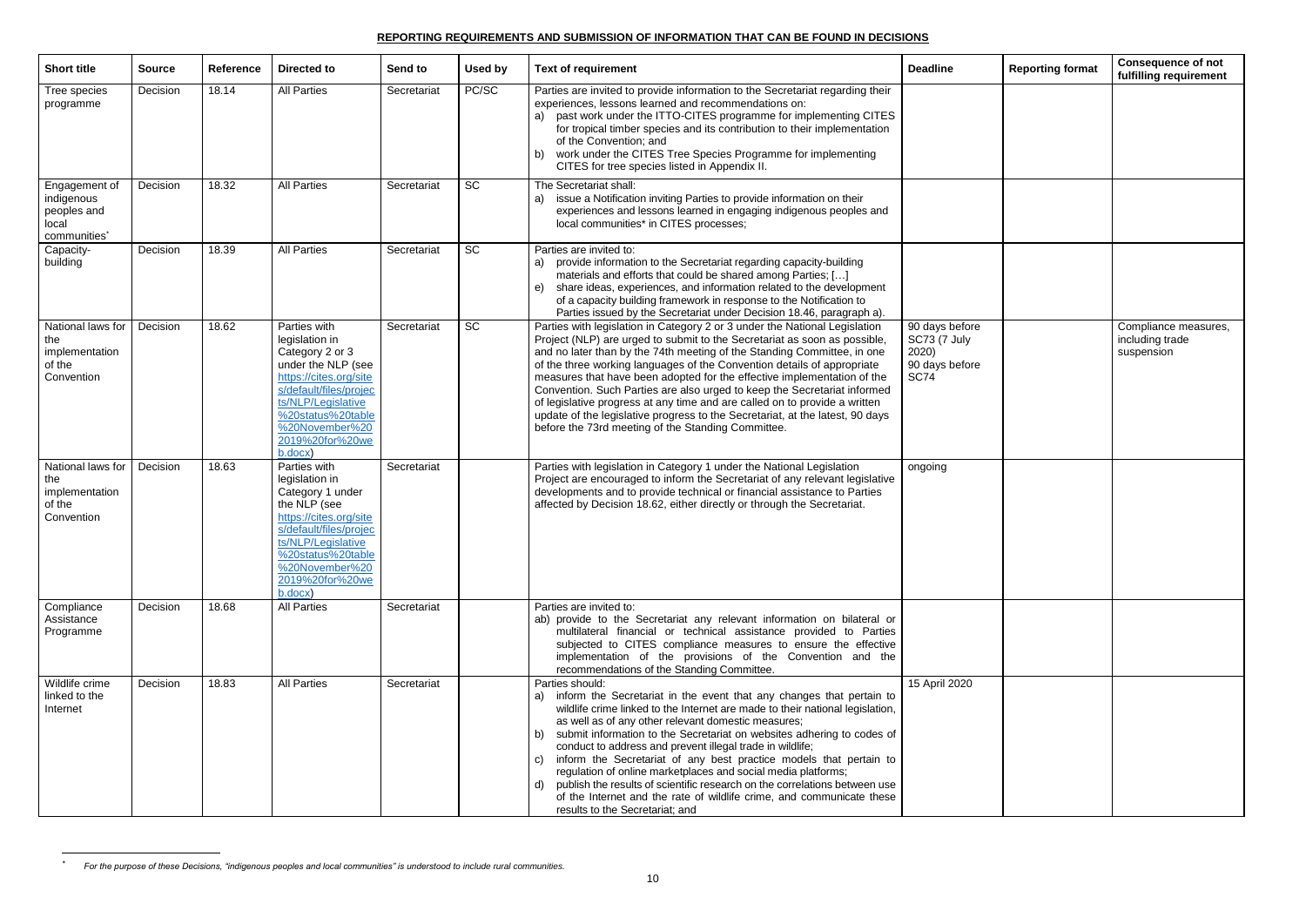## **REPORTING REQUIREMENTS AND SUBMISSION OF INFORMATION THAT CAN BE FOUND IN DECISIONS**

| <b>Short title</b>                                                              | <b>Source</b> | Reference | <b>Directed to</b>                                                                                                                                                                                                     | Send to     | Used by   | <b>Text of requirement</b>                                                                                                                                                                                                                                                                                                                                                                                                                                                                                                                                                                                                                                                                                             | <b>Deadline</b>                                                                 | <b>Reporting format</b> | <b>Consequence of not</b><br>fulfilling requirement   |
|---------------------------------------------------------------------------------|---------------|-----------|------------------------------------------------------------------------------------------------------------------------------------------------------------------------------------------------------------------------|-------------|-----------|------------------------------------------------------------------------------------------------------------------------------------------------------------------------------------------------------------------------------------------------------------------------------------------------------------------------------------------------------------------------------------------------------------------------------------------------------------------------------------------------------------------------------------------------------------------------------------------------------------------------------------------------------------------------------------------------------------------------|---------------------------------------------------------------------------------|-------------------------|-------------------------------------------------------|
| Tree species<br>programme                                                       | Decision      | 18.14     | <b>All Parties</b>                                                                                                                                                                                                     | Secretariat | PC/SC     | Parties are invited to provide information to the Secretariat regarding their<br>experiences, lessons learned and recommendations on:<br>a) past work under the ITTO-CITES programme for implementing CITES<br>for tropical timber species and its contribution to their implementation<br>of the Convention; and<br>work under the CITES Tree Species Programme for implementing<br>b)<br>CITES for tree species listed in Appendix II.                                                                                                                                                                                                                                                                               |                                                                                 |                         |                                                       |
| Engagement of<br>indigenous<br>peoples and<br>local<br>communities <sup>*</sup> | Decision      | 18.32     | <b>All Parties</b>                                                                                                                                                                                                     | Secretariat | <b>SC</b> | The Secretariat shall:<br>issue a Notification inviting Parties to provide information on their<br>a)<br>experiences and lessons learned in engaging indigenous peoples and<br>local communities* in CITES processes;                                                                                                                                                                                                                                                                                                                                                                                                                                                                                                  |                                                                                 |                         |                                                       |
| Capacity-<br>building                                                           | Decision      | 18.39     | <b>All Parties</b>                                                                                                                                                                                                     | Secretariat | <b>SC</b> | Parties are invited to:<br>provide information to the Secretariat regarding capacity-building<br>a)<br>materials and efforts that could be shared among Parties; []<br>share ideas, experiences, and information related to the development<br>e)<br>of a capacity building framework in response to the Notification to<br>Parties issued by the Secretariat under Decision 18.46, paragraph a).                                                                                                                                                                                                                                                                                                                      |                                                                                 |                         |                                                       |
| National laws for<br>the<br>implementation<br>of the<br>Convention              | Decision      | 18.62     | Parties with<br>legislation in<br>Category 2 or 3<br>under the NLP (see<br>https://cites.org/site<br>s/default/files/projec<br>ts/NLP/Legislative<br>%20status%20table<br>%20November%20<br>2019%20for%20we<br>b.docx) | Secretariat | <b>SC</b> | Parties with legislation in Category 2 or 3 under the National Legislation<br>Project (NLP) are urged to submit to the Secretariat as soon as possible,<br>and no later than by the 74th meeting of the Standing Committee, in one<br>of the three working languages of the Convention details of appropriate<br>measures that have been adopted for the effective implementation of the<br>Convention. Such Parties are also urged to keep the Secretariat informed<br>of legislative progress at any time and are called on to provide a written<br>update of the legislative progress to the Secretariat, at the latest, 90 days<br>before the 73rd meeting of the Standing Committee.                              | 90 days before<br><b>SC73 (7 July</b><br>2020)<br>90 days before<br><b>SC74</b> |                         | Compliance measures,<br>including trade<br>suspension |
| National laws for   Decision<br>the<br>implementation<br>of the<br>Convention   |               | 18.63     | Parties with<br>legislation in<br>Category 1 under<br>the NLP (see<br>https://cites.org/site<br>s/default/files/projec<br>ts/NLP/Legislative<br>%20status%20table<br>%20November%20<br>2019%20for%20we<br>b.docx)      | Secretariat |           | Parties with legislation in Category 1 under the National Legislation<br>Project are encouraged to inform the Secretariat of any relevant legislative<br>developments and to provide technical or financial assistance to Parties<br>affected by Decision 18.62, either directly or through the Secretariat.                                                                                                                                                                                                                                                                                                                                                                                                           | ongoing                                                                         |                         |                                                       |
| Compliance<br>Assistance<br>Programme                                           | Decision      | 18.68     | <b>All Parties</b>                                                                                                                                                                                                     | Secretariat |           | Parties are invited to:<br>ab) provide to the Secretariat any relevant information on bilateral or<br>multilateral financial or technical assistance provided to Parties<br>subjected to CITES compliance measures to ensure the effective<br>implementation of the provisions of the Convention and the<br>recommendations of the Standing Committee.                                                                                                                                                                                                                                                                                                                                                                 |                                                                                 |                         |                                                       |
| Wildlife crime<br>linked to the<br>Internet                                     | Decision      | 18.83     | <b>All Parties</b>                                                                                                                                                                                                     | Secretariat |           | Parties should:<br>a) inform the Secretariat in the event that any changes that pertain to<br>wildlife crime linked to the Internet are made to their national legislation,<br>as well as of any other relevant domestic measures;<br>b) submit information to the Secretariat on websites adhering to codes of<br>conduct to address and prevent illegal trade in wildlife;<br>c) inform the Secretariat of any best practice models that pertain to<br>regulation of online marketplaces and social media platforms;<br>publish the results of scientific research on the correlations between use<br>d)<br>of the Internet and the rate of wildlife crime, and communicate these<br>results to the Secretariat; and | 15 April 2020                                                                   |                         |                                                       |

<sup>\*</sup> *For the purpose of these Decisions, "indigenous peoples and local communities" is understood to include rural communities.*

 $\ast$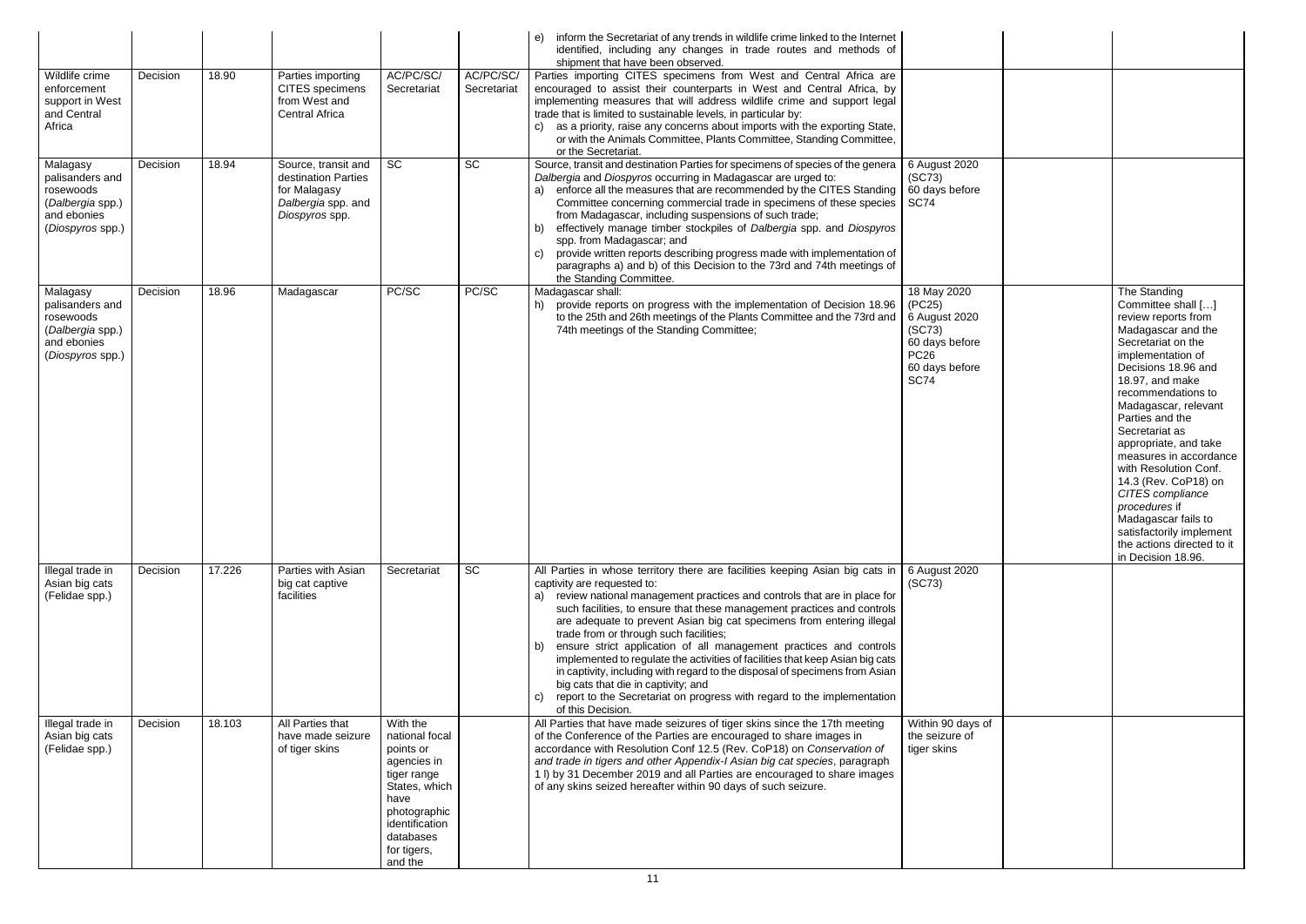|                                                                                                 |          |        |                                                                                                    |                                                                                                                                                                         |                          | inform the Secretariat of any trends in wildlife crime linked to the Internet<br>e)<br>identified, including any changes in trade routes and methods of<br>shipment that have been observed.                                                                                                                                                                                                                                                                                                                                                                                                                                                                                                                                                                                   |                                                                                                                    |                                                                                                                                                                                                                                                                                                                                                                                                                                                                                                         |
|-------------------------------------------------------------------------------------------------|----------|--------|----------------------------------------------------------------------------------------------------|-------------------------------------------------------------------------------------------------------------------------------------------------------------------------|--------------------------|--------------------------------------------------------------------------------------------------------------------------------------------------------------------------------------------------------------------------------------------------------------------------------------------------------------------------------------------------------------------------------------------------------------------------------------------------------------------------------------------------------------------------------------------------------------------------------------------------------------------------------------------------------------------------------------------------------------------------------------------------------------------------------|--------------------------------------------------------------------------------------------------------------------|---------------------------------------------------------------------------------------------------------------------------------------------------------------------------------------------------------------------------------------------------------------------------------------------------------------------------------------------------------------------------------------------------------------------------------------------------------------------------------------------------------|
| Wildlife crime<br>enforcement<br>support in West<br>and Central<br>Africa                       | Decision | 18.90  | Parties importing<br><b>CITES</b> specimens<br>from West and<br>Central Africa                     | AC/PC/SC/<br>Secretariat                                                                                                                                                | AC/PC/SC/<br>Secretariat | Parties importing CITES specimens from West and Central Africa are<br>encouraged to assist their counterparts in West and Central Africa, by<br>implementing measures that will address wildlife crime and support legal<br>trade that is limited to sustainable levels, in particular by:<br>as a priority, raise any concerns about imports with the exporting State,<br>C)<br>or with the Animals Committee, Plants Committee, Standing Committee,<br>or the Secretariat.                                                                                                                                                                                                                                                                                                   |                                                                                                                    |                                                                                                                                                                                                                                                                                                                                                                                                                                                                                                         |
| Malagasy<br>palisanders and<br>rosewoods<br>(Dalbergia spp.)<br>and ebonies<br>(Diospyros spp.) | Decision | 18.94  | Source, transit and<br>destination Parties<br>for Malagasy<br>Dalbergia spp. and<br>Diospyros spp. | SC                                                                                                                                                                      | $\overline{SC}$          | Source, transit and destination Parties for specimens of species of the genera<br>Dalbergia and Diospyros occurring in Madagascar are urged to:<br>a) enforce all the measures that are recommended by the CITES Standing<br>Committee concerning commercial trade in specimens of these species<br>from Madagascar, including suspensions of such trade;<br>b) effectively manage timber stockpiles of Dalbergia spp. and Diospyros<br>spp. from Madagascar; and<br>provide written reports describing progress made with implementation of<br>C)<br>paragraphs a) and b) of this Decision to the 73rd and 74th meetings of<br>the Standing Committee.                                                                                                                        | 6 August 2020<br>(SC73)<br>60 days before<br><b>SC74</b>                                                           |                                                                                                                                                                                                                                                                                                                                                                                                                                                                                                         |
| Malagasy<br>palisanders and<br>rosewoods<br>(Dalbergia spp.)<br>and ebonies<br>(Diospyros spp.) | Decision | 18.96  | Madagascar                                                                                         | PC/SC                                                                                                                                                                   | PC/SC                    | Madagascar shall:<br>h) provide reports on progress with the implementation of Decision 18.96<br>to the 25th and 26th meetings of the Plants Committee and the 73rd and<br>74th meetings of the Standing Committee;                                                                                                                                                                                                                                                                                                                                                                                                                                                                                                                                                            | 18 May 2020<br>(PC25)<br>6 August 2020<br>(SC73)<br>60 days before<br><b>PC26</b><br>60 days before<br><b>SC74</b> | The Standing<br>Committee shall []<br>review reports from<br>Madagascar and the<br>Secretariat on the<br>implementation of<br>Decisions 18.96 and<br>18.97, and make<br>recommendations to<br>Madagascar, relevant<br>Parties and the<br>Secretariat as<br>appropriate, and take<br>measures in accordance<br>with Resolution Conf.<br>14.3 (Rev. CoP18) on<br>CITES compliance<br>procedures if<br>Madagascar fails to<br>satisfactorily implement<br>the actions directed to it<br>in Decision 18.96. |
| Illegal trade in<br>Asian big cats<br>(Felidae spp.)                                            | Decision | 17.226 | Parties with Asian<br>big cat captive<br>facilities                                                | Secretariat                                                                                                                                                             | <b>SC</b>                | All Parties in whose territory there are facilities keeping Asian big cats in<br>captivity are requested to:<br>a) review national management practices and controls that are in place for<br>such facilities, to ensure that these management practices and controls<br>are adequate to prevent Asian big cat specimens from entering illegal<br>trade from or through such facilities;<br>b) ensure strict application of all management practices and controls<br>implemented to regulate the activities of facilities that keep Asian big cats<br>in captivity, including with regard to the disposal of specimens from Asian<br>big cats that die in captivity; and<br>report to the Secretariat on progress with regard to the implementation<br>C)<br>of this Decision. | 6 August 2020<br>(SC73)                                                                                            |                                                                                                                                                                                                                                                                                                                                                                                                                                                                                                         |
| Illegal trade in<br>Asian big cats<br>(Felidae spp.)                                            | Decision | 18.103 | All Parties that<br>have made seizure<br>of tiger skins                                            | With the<br>national focal<br>points or<br>agencies in<br>tiger range<br>States, which<br>have<br>photographic<br>identification<br>databases<br>for tigers,<br>and the |                          | All Parties that have made seizures of tiger skins since the 17th meeting<br>of the Conference of the Parties are encouraged to share images in<br>accordance with Resolution Conf 12.5 (Rev. CoP18) on Conservation of<br>and trade in tigers and other Appendix-I Asian big cat species, paragraph<br>1 I) by 31 December 2019 and all Parties are encouraged to share images<br>of any skins seized hereafter within 90 days of such seizure.                                                                                                                                                                                                                                                                                                                               | Within 90 days of<br>the seizure of<br>tiger skins                                                                 |                                                                                                                                                                                                                                                                                                                                                                                                                                                                                                         |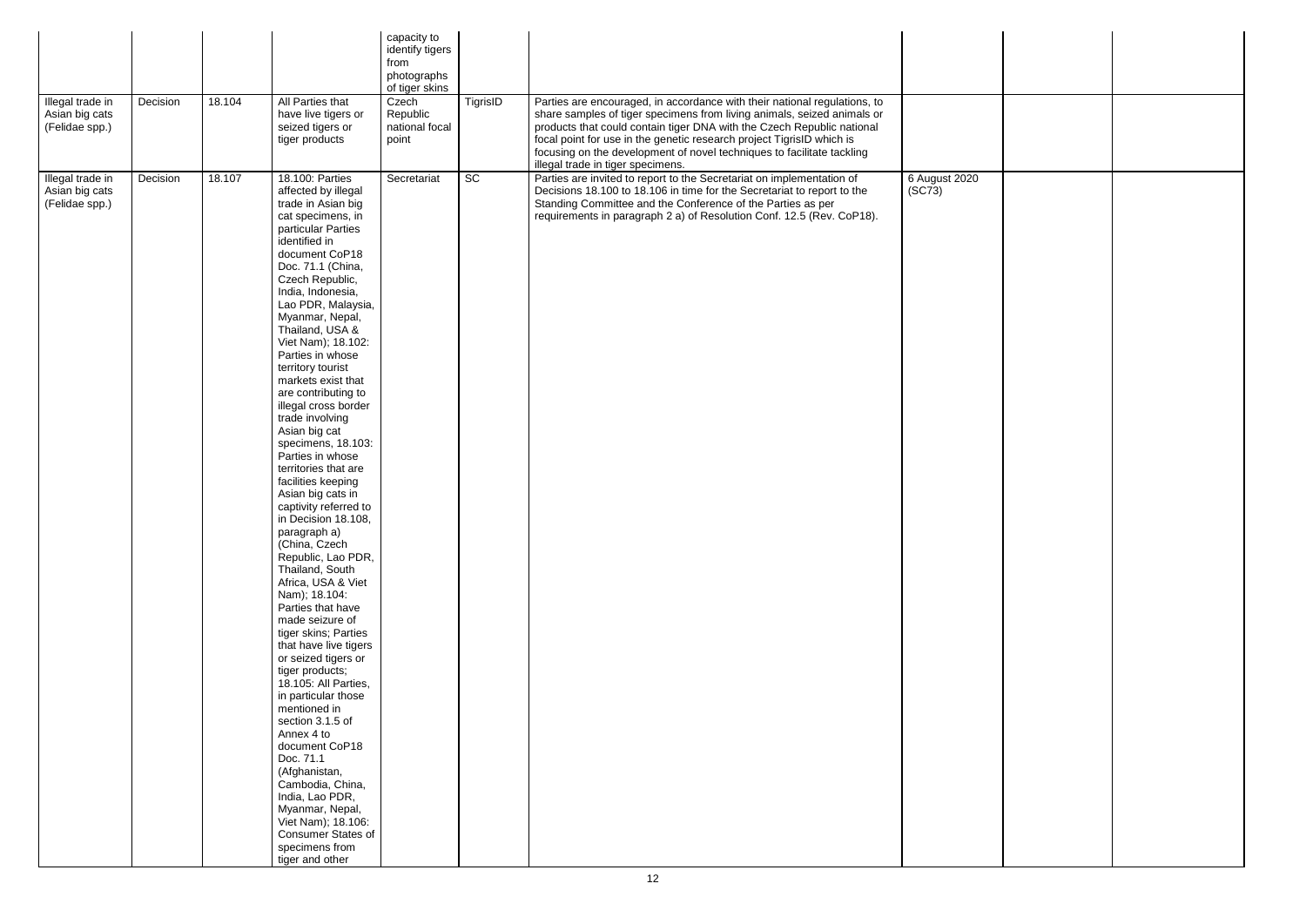| Illegal trade in<br>Asian big cats<br>(Felidae spp.) | Decision | 18.104 | All Parties that<br>have live tigers or<br>seized tigers or<br>tiger products                                                                                                                                                                                                                                                                                                                                                                                                                                                                                                                                                                                                                                                                                                                                                                                                                                                                                                                                                                                                                                                                                   | capacity to<br>identify tigers<br>from<br>photographs<br>of tiger skins<br>Czech<br>Republic<br>national focal<br>point | TigrisID | Parties are encouraged, in accordance with their national regulations, to<br>share samples of tiger specimens from living animals, seized animals or<br>products that could contain tiger DNA with the Czech Republic national<br>focal point for use in the genetic research project TigrisID which is<br>focusing on the development of novel techniques to facilitate tackling<br>illegal trade in tiger specimens. |                                      |  |
|------------------------------------------------------|----------|--------|-----------------------------------------------------------------------------------------------------------------------------------------------------------------------------------------------------------------------------------------------------------------------------------------------------------------------------------------------------------------------------------------------------------------------------------------------------------------------------------------------------------------------------------------------------------------------------------------------------------------------------------------------------------------------------------------------------------------------------------------------------------------------------------------------------------------------------------------------------------------------------------------------------------------------------------------------------------------------------------------------------------------------------------------------------------------------------------------------------------------------------------------------------------------|-------------------------------------------------------------------------------------------------------------------------|----------|------------------------------------------------------------------------------------------------------------------------------------------------------------------------------------------------------------------------------------------------------------------------------------------------------------------------------------------------------------------------------------------------------------------------|--------------------------------------|--|
| Illegal trade in<br>Asian big cats<br>(Felidae spp.) | Decision | 18.107 | 18.100: Parties<br>affected by illegal<br>trade in Asian big<br>cat specimens, in<br>particular Parties<br>identified in<br>document CoP18<br>Doc. 71.1 (China,<br>Czech Republic,<br>India, Indonesia,<br>Lao PDR, Malaysia,<br>Myanmar, Nepal,<br>Thailand, USA &<br>Viet Nam); 18.102:<br>Parties in whose<br>territory tourist<br>markets exist that<br>are contributing to<br>illegal cross border<br>trade involving<br>Asian big cat<br>specimens, 18.103:<br>Parties in whose<br>territories that are<br>facilities keeping<br>Asian big cats in<br>captivity referred to<br>in Decision 18.108,<br>paragraph a)<br>(China, Czech<br>Republic, Lao PDR,<br>Thailand, South<br>Africa, USA & Viet<br>Nam); 18.104:<br>Parties that have<br>made seizure of<br>tiger skins; Parties<br>that have live tigers<br>or seized tigers or<br>tiger products;<br>18.105: All Parties,<br>in particular those<br>mentioned in<br>section 3.1.5 of<br>Annex 4 to<br>document CoP18<br>Doc. 71.1<br>(Afghanistan,<br>Cambodia, China,<br>India, Lao PDR,<br>Myanmar, Nepal,<br>Viet Nam); 18.106:<br><b>Consumer States of</b><br>specimens from<br>tiger and other | Secretariat                                                                                                             | SC       | Parties are invited to report to the Secretariat on implementation of<br>Decisions 18.100 to 18.106 in time for the Secretariat to report to the<br>Standing Committee and the Conference of the Parties as per<br>requirements in paragraph 2 a) of Resolution Conf. 12.5 (Rev. CoP18).                                                                                                                               | 6 August 2020<br>(SC <sub>73</sub> ) |  |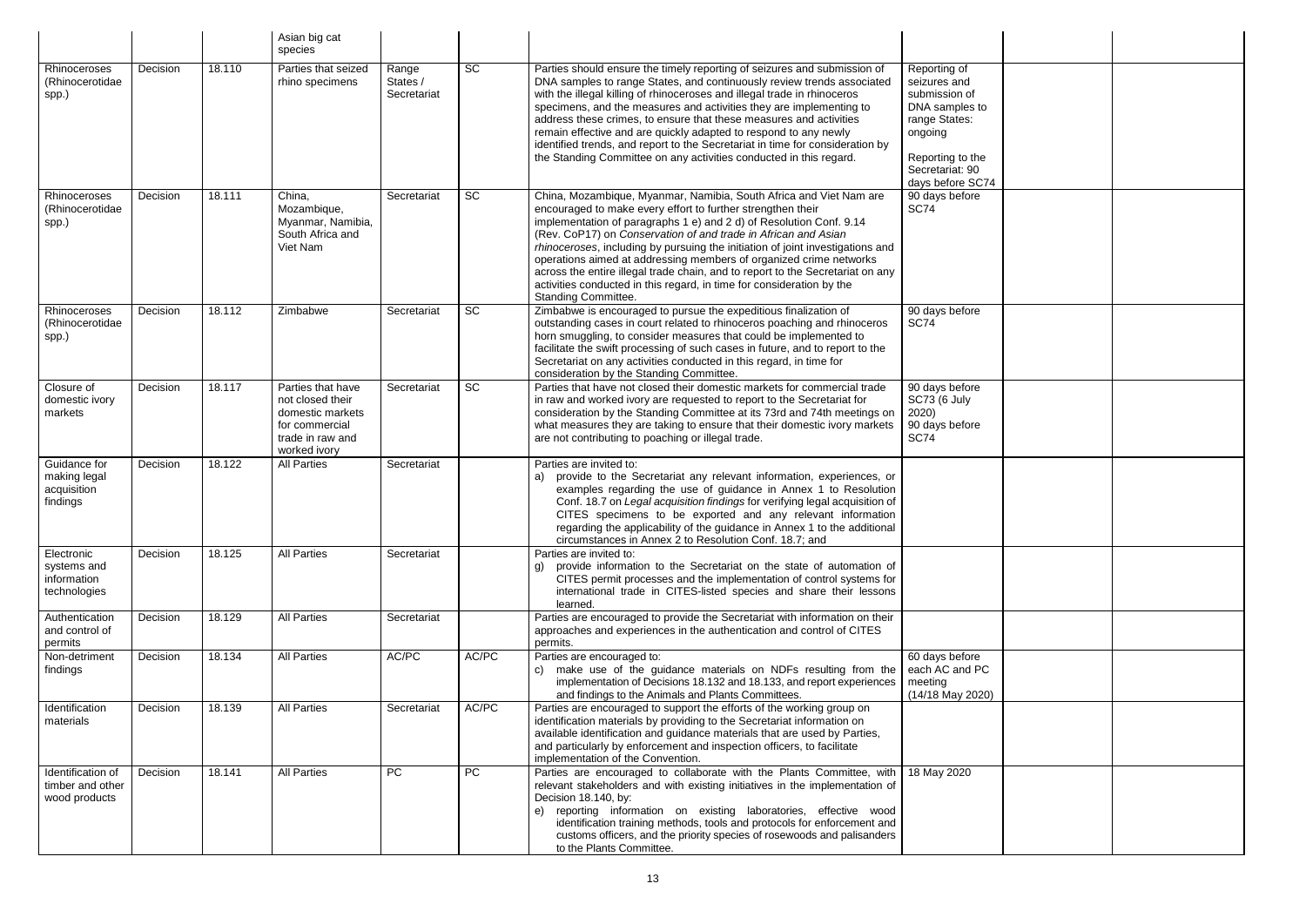|                                                          |          |        | Asian big cat<br>species                                                                                        |                                  |           |                                                                                                                                                                                                                                                                                                                                                                                                                                                                                                                                                                                                                             |                                                                                                                                                        |  |
|----------------------------------------------------------|----------|--------|-----------------------------------------------------------------------------------------------------------------|----------------------------------|-----------|-----------------------------------------------------------------------------------------------------------------------------------------------------------------------------------------------------------------------------------------------------------------------------------------------------------------------------------------------------------------------------------------------------------------------------------------------------------------------------------------------------------------------------------------------------------------------------------------------------------------------------|--------------------------------------------------------------------------------------------------------------------------------------------------------|--|
| Rhinoceroses<br>(Rhinocerotidae<br>spp.)                 | Decision | 18.110 | Parties that seized<br>rhino specimens                                                                          | Range<br>States /<br>Secretariat | <b>SC</b> | Parties should ensure the timely reporting of seizures and submission of<br>DNA samples to range States, and continuously review trends associated<br>with the illegal killing of rhinoceroses and illegal trade in rhinoceros<br>specimens, and the measures and activities they are implementing to<br>address these crimes, to ensure that these measures and activities<br>remain effective and are quickly adapted to respond to any newly<br>identified trends, and report to the Secretariat in time for consideration by<br>the Standing Committee on any activities conducted in this regard.                      | Reporting of<br>seizures and<br>submission of<br>DNA samples to<br>range States:<br>ongoing<br>Reporting to the<br>Secretariat: 90<br>days before SC74 |  |
| Rhinoceroses<br>(Rhinocerotidae<br>spp.)                 | Decision | 18.111 | China,<br>Mozambique,<br>Myanmar, Namibia,<br>South Africa and<br>Viet Nam                                      | Secretariat                      | SC        | China, Mozambique, Myanmar, Namibia, South Africa and Viet Nam are<br>encouraged to make every effort to further strengthen their<br>implementation of paragraphs 1 e) and 2 d) of Resolution Conf. 9.14<br>(Rev. CoP17) on Conservation of and trade in African and Asian<br>rhinoceroses, including by pursuing the initiation of joint investigations and<br>operations aimed at addressing members of organized crime networks<br>across the entire illegal trade chain, and to report to the Secretariat on any<br>activities conducted in this regard, in time for consideration by the<br><b>Standing Committee.</b> | 90 days before<br><b>SC74</b>                                                                                                                          |  |
| Rhinoceroses<br>(Rhinocerotidae<br>spp.)                 | Decision | 18.112 | Zimbabwe                                                                                                        | Secretariat                      | <b>SC</b> | Zimbabwe is encouraged to pursue the expeditious finalization of<br>outstanding cases in court related to rhinoceros poaching and rhinoceros<br>horn smuggling, to consider measures that could be implemented to<br>facilitate the swift processing of such cases in future, and to report to the<br>Secretariat on any activities conducted in this regard, in time for<br>consideration by the Standing Committee.                                                                                                                                                                                                       | 90 days before<br><b>SC74</b>                                                                                                                          |  |
| Closure of<br>domestic ivory<br>markets                  | Decision | 18.117 | Parties that have<br>not closed their<br>domestic markets<br>for commercial<br>trade in raw and<br>worked ivory | Secretariat                      | <b>SC</b> | Parties that have not closed their domestic markets for commercial trade<br>in raw and worked ivory are requested to report to the Secretariat for<br>consideration by the Standing Committee at its 73rd and 74th meetings on<br>what measures they are taking to ensure that their domestic ivory markets<br>are not contributing to poaching or illegal trade.                                                                                                                                                                                                                                                           | 90 days before<br><b>SC73 (6 July</b><br>2020)<br>90 days before<br><b>SC74</b>                                                                        |  |
| Guidance for<br>making legal<br>acquisition<br>findings  | Decision | 18.122 | <b>All Parties</b>                                                                                              | Secretariat                      |           | Parties are invited to:<br>provide to the Secretariat any relevant information, experiences, or<br>a)<br>examples regarding the use of guidance in Annex 1 to Resolution<br>Conf. 18.7 on Legal acquisition findings for verifying legal acquisition of<br>CITES specimens to be exported and any relevant information<br>regarding the applicability of the guidance in Annex 1 to the additional<br>circumstances in Annex 2 to Resolution Conf. 18.7; and                                                                                                                                                                |                                                                                                                                                        |  |
| Electronic<br>systems and<br>information<br>technologies | Decision | 18.125 | <b>All Parties</b>                                                                                              | Secretariat                      |           | Parties are invited to:<br>provide information to the Secretariat on the state of automation of<br>CITES permit processes and the implementation of control systems for<br>international trade in CITES-listed species and share their lessons<br>learned.                                                                                                                                                                                                                                                                                                                                                                  |                                                                                                                                                        |  |
| Authentication<br>and control of<br>permits              | Decision | 18.129 | <b>All Parties</b>                                                                                              | Secretariat                      |           | Parties are encouraged to provide the Secretariat with information on their<br>approaches and experiences in the authentication and control of CITES<br>permits.                                                                                                                                                                                                                                                                                                                                                                                                                                                            |                                                                                                                                                        |  |
| Non-detriment<br>findings                                | Decision | 18.134 | <b>All Parties</b>                                                                                              | AC/PC                            | AC/PC     | Parties are encouraged to:<br>c) make use of the guidance materials on NDFs resulting from the<br>implementation of Decisions 18.132 and 18.133, and report experiences<br>and findings to the Animals and Plants Committees.                                                                                                                                                                                                                                                                                                                                                                                               | 60 days before<br>each AC and PC<br>meeting<br>(14/18 May 2020)                                                                                        |  |
| Identification<br>materials                              | Decision | 18.139 | <b>All Parties</b>                                                                                              | Secretariat                      | AC/PC     | Parties are encouraged to support the efforts of the working group on<br>identification materials by providing to the Secretariat information on<br>available identification and guidance materials that are used by Parties,<br>and particularly by enforcement and inspection officers, to facilitate<br>implementation of the Convention.                                                                                                                                                                                                                                                                                |                                                                                                                                                        |  |
| Identification of<br>timber and other<br>wood products   | Decision | 18.141 | <b>All Parties</b>                                                                                              | <b>PC</b>                        | <b>PC</b> | Parties are encouraged to collaborate with the Plants Committee, with<br>relevant stakeholders and with existing initiatives in the implementation of<br>Decision 18.140, by:<br>reporting information on existing laboratories, effective wood<br>e)<br>identification training methods, tools and protocols for enforcement and<br>customs officers, and the priority species of rosewoods and palisanders<br>to the Plants Committee.                                                                                                                                                                                    | 18 May 2020                                                                                                                                            |  |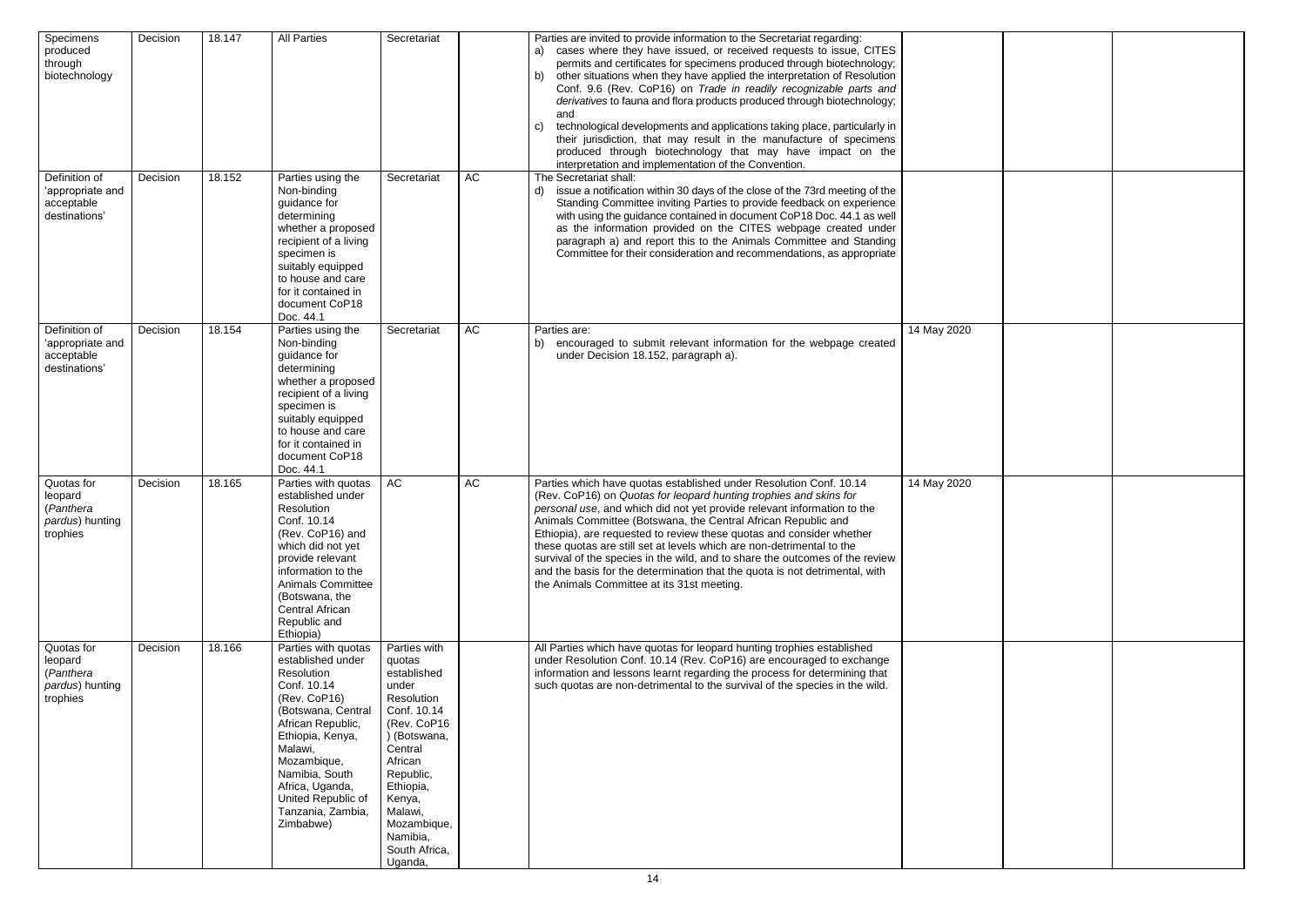| Specimens<br>produced<br>through<br>biotechnology                 | Decision | 18.147 | <b>All Parties</b>                                                                                                                                                                                                                                                          | Secretariat                                                                                                                                                                                                                            |    | Parties are invited to provide information to the Secretariat regarding:<br>a) cases where they have issued, or received requests to issue, CITES<br>permits and certificates for specimens produced through biotechnology;<br>b) other situations when they have applied the interpretation of Resolution<br>Conf. 9.6 (Rev. CoP16) on Trade in readily recognizable parts and<br>derivatives to fauna and flora products produced through biotechnology;<br>and<br>technological developments and applications taking place, particularly in<br>C)<br>their jurisdiction, that may result in the manufacture of specimens<br>produced through biotechnology that may have impact on the<br>interpretation and implementation of the Convention. |             |
|-------------------------------------------------------------------|----------|--------|-----------------------------------------------------------------------------------------------------------------------------------------------------------------------------------------------------------------------------------------------------------------------------|----------------------------------------------------------------------------------------------------------------------------------------------------------------------------------------------------------------------------------------|----|---------------------------------------------------------------------------------------------------------------------------------------------------------------------------------------------------------------------------------------------------------------------------------------------------------------------------------------------------------------------------------------------------------------------------------------------------------------------------------------------------------------------------------------------------------------------------------------------------------------------------------------------------------------------------------------------------------------------------------------------------|-------------|
| Definition of<br>'appropriate and<br>acceptable<br>destinations'  | Decision | 18.152 | Parties using the<br>Non-binding<br>guidance for<br>determining<br>whether a proposed<br>recipient of a living<br>specimen is<br>suitably equipped<br>to house and care<br>for it contained in<br>document CoP18<br>Doc. 44.1                                               | Secretariat                                                                                                                                                                                                                            | AC | The Secretariat shall:<br>d) issue a notification within 30 days of the close of the 73rd meeting of the<br>Standing Committee inviting Parties to provide feedback on experience<br>with using the guidance contained in document CoP18 Doc. 44.1 as well<br>as the information provided on the CITES webpage created under<br>paragraph a) and report this to the Animals Committee and Standing<br>Committee for their consideration and recommendations, as appropriate                                                                                                                                                                                                                                                                       |             |
| Definition of<br>'appropriate and<br>acceptable<br>destinations'  | Decision | 18.154 | Parties using the<br>Non-binding<br>guidance for<br>determining<br>whether a proposed<br>recipient of a living<br>specimen is<br>suitably equipped<br>to house and care<br>for it contained in<br>document CoP18<br>Doc. 44.1                                               | Secretariat                                                                                                                                                                                                                            | AC | Parties are:<br>b) encouraged to submit relevant information for the webpage created<br>under Decision 18.152, paragraph a).                                                                                                                                                                                                                                                                                                                                                                                                                                                                                                                                                                                                                      | 14 May 2020 |
| Quotas for<br>leopard<br>(Panthera<br>pardus) hunting<br>trophies | Decision | 18.165 | Parties with quotas<br>established under<br>Resolution<br>Conf. 10.14<br>(Rev. CoP16) and<br>which did not yet<br>provide relevant<br>information to the<br><b>Animals Committee</b><br>(Botswana, the<br>Central African<br>Republic and<br>Ethiopia)                      | AC                                                                                                                                                                                                                                     | AC | Parties which have quotas established under Resolution Conf. 10.14<br>(Rev. CoP16) on Quotas for leopard hunting trophies and skins for<br>personal use, and which did not yet provide relevant information to the<br>Animals Committee (Botswana, the Central African Republic and<br>Ethiopia), are requested to review these quotas and consider whether<br>these quotas are still set at levels which are non-detrimental to the<br>survival of the species in the wild, and to share the outcomes of the review<br>and the basis for the determination that the quota is not detrimental, with<br>the Animals Committee at its 31st meeting.                                                                                                 | 14 May 2020 |
| Quotas for<br>leopard<br>(Panthera<br>pardus) hunting<br>trophies | Decision | 18.166 | Parties with quotas<br>established under<br>Resolution<br>Conf. 10.14<br>(Rev. CoP16)<br>(Botswana, Central<br>African Republic,<br>Ethiopia, Kenya,<br>Malawi,<br>Mozambique,<br>Namibia, South<br>Africa, Uganda,<br>United Republic of<br>Tanzania, Zambia,<br>Zimbabwe) | Parties with<br>quotas<br>established<br>under<br>Resolution<br>Conf. 10.14<br>(Rev. CoP16<br>) (Botswana,<br>Central<br>African<br>Republic,<br>Ethiopia,<br>Kenya,<br>Malawi,<br>Mozambique,<br>Namibia,<br>South Africa,<br>Uganda, |    | All Parties which have quotas for leopard hunting trophies established<br>under Resolution Conf. 10.14 (Rev. CoP16) are encouraged to exchange<br>information and lessons learnt regarding the process for determining that<br>such quotas are non-detrimental to the survival of the species in the wild.                                                                                                                                                                                                                                                                                                                                                                                                                                        |             |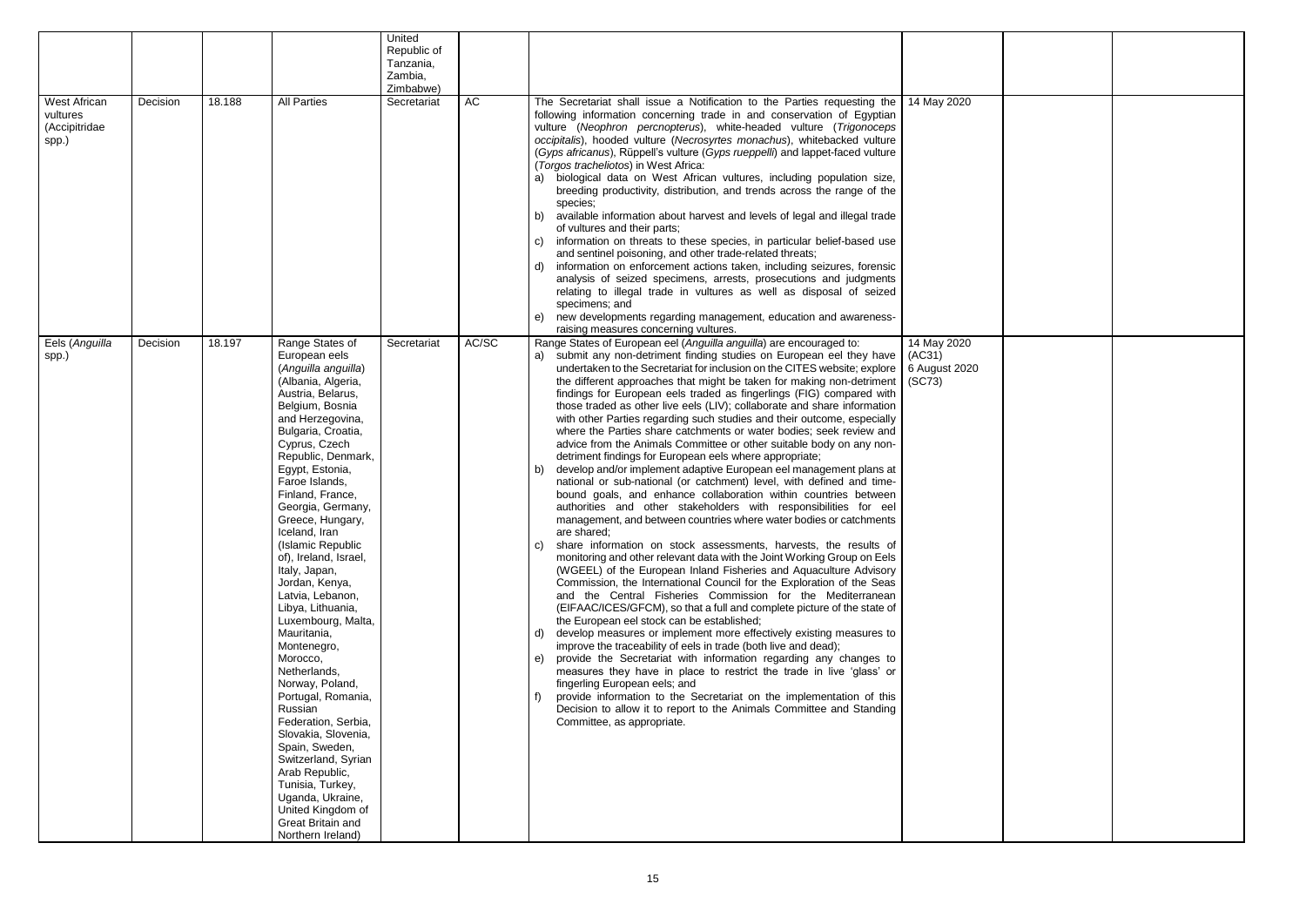|                                                    |          |        |                                                                                                                                                                                                                                                                                                                                                                                                                                                                                                                                                                                                                                                                                                                                                                                                                | United<br>Republic of    |           |                                                                                                                                                                                                                                                                                                                                                                                                                                                                                                                                                                                                                                                                                                                                                                                                                                                                                                                                                                                                                                                                                                                                                                                                                                                                                                                                                                                                                                                                                                                                                                                                                                                                                                                                                                                                                                                                                                                                                                                                                                                                                                                                             |                                                  |
|----------------------------------------------------|----------|--------|----------------------------------------------------------------------------------------------------------------------------------------------------------------------------------------------------------------------------------------------------------------------------------------------------------------------------------------------------------------------------------------------------------------------------------------------------------------------------------------------------------------------------------------------------------------------------------------------------------------------------------------------------------------------------------------------------------------------------------------------------------------------------------------------------------------|--------------------------|-----------|---------------------------------------------------------------------------------------------------------------------------------------------------------------------------------------------------------------------------------------------------------------------------------------------------------------------------------------------------------------------------------------------------------------------------------------------------------------------------------------------------------------------------------------------------------------------------------------------------------------------------------------------------------------------------------------------------------------------------------------------------------------------------------------------------------------------------------------------------------------------------------------------------------------------------------------------------------------------------------------------------------------------------------------------------------------------------------------------------------------------------------------------------------------------------------------------------------------------------------------------------------------------------------------------------------------------------------------------------------------------------------------------------------------------------------------------------------------------------------------------------------------------------------------------------------------------------------------------------------------------------------------------------------------------------------------------------------------------------------------------------------------------------------------------------------------------------------------------------------------------------------------------------------------------------------------------------------------------------------------------------------------------------------------------------------------------------------------------------------------------------------------------|--------------------------------------------------|
|                                                    |          |        |                                                                                                                                                                                                                                                                                                                                                                                                                                                                                                                                                                                                                                                                                                                                                                                                                | Tanzania,<br>Zambia,     |           |                                                                                                                                                                                                                                                                                                                                                                                                                                                                                                                                                                                                                                                                                                                                                                                                                                                                                                                                                                                                                                                                                                                                                                                                                                                                                                                                                                                                                                                                                                                                                                                                                                                                                                                                                                                                                                                                                                                                                                                                                                                                                                                                             |                                                  |
| West African<br>vultures<br>(Accipitridae<br>spp.) | Decision | 18.188 | <b>All Parties</b>                                                                                                                                                                                                                                                                                                                                                                                                                                                                                                                                                                                                                                                                                                                                                                                             | Zimbabwe)<br>Secretariat | <b>AC</b> | The Secretariat shall issue a Notification to the Parties requesting the<br>following information concerning trade in and conservation of Egyptian<br>vulture (Neophron percnopterus), white-headed vulture (Trigonoceps<br>occipitalis), hooded vulture (Necrosyrtes monachus), whitebacked vulture<br>(Gyps africanus), Rüppell's vulture (Gyps rueppelli) and lappet-faced vulture<br>(Torgos tracheliotos) in West Africa:<br>biological data on West African vultures, including population size,<br>a)<br>breeding productivity, distribution, and trends across the range of the<br>species;<br>available information about harvest and levels of legal and illegal trade<br>b)<br>of vultures and their parts;<br>information on threats to these species, in particular belief-based use<br>C)<br>and sentinel poisoning, and other trade-related threats;<br>information on enforcement actions taken, including seizures, forensic<br>d)<br>analysis of seized specimens, arrests, prosecutions and judgments<br>relating to illegal trade in vultures as well as disposal of seized<br>specimens; and<br>new developments regarding management, education and awareness-<br>e)<br>raising measures concerning vultures.                                                                                                                                                                                                                                                                                                                                                                                                                                                                                                                                                                                                                                                                                                                                                                                                                                                                                                         | 14 May 2020                                      |
| Eels (Anguilla<br>spp.)                            | Decision | 18.197 | Range States of<br>European eels<br>(Anguilla anguilla)<br>(Albania, Algeria,<br>Austria, Belarus,<br>Belgium, Bosnia<br>and Herzegovina,<br>Bulgaria, Croatia,<br>Cyprus, Czech<br>Republic, Denmark,<br>Egypt, Estonia,<br>Faroe Islands,<br>Finland, France,<br>Georgia, Germany,<br>Greece, Hungary,<br>Iceland, Iran<br>(Islamic Republic<br>of), Ireland, Israel,<br>Italy, Japan,<br>Jordan, Kenya,<br>Latvia, Lebanon,<br>Libya, Lithuania,<br>Luxembourg, Malta,<br>Mauritania,<br>Montenegro,<br>Morocco,<br>Netherlands,<br>Norway, Poland,<br>Portugal, Romania,<br>Russian<br>Federation, Serbia,<br>Slovakia, Slovenia,<br>Spain, Sweden,<br>Switzerland, Syrian<br>Arab Republic,<br>Tunisia, Turkey,<br>Uganda, Ukraine,<br>United Kingdom of<br><b>Great Britain and</b><br>Northern Ireland) | Secretariat              | AC/SC     | Range States of European eel (Anguilla anguilla) are encouraged to:<br>submit any non-detriment finding studies on European eel they have<br>a)<br>undertaken to the Secretariat for inclusion on the CITES website; explore<br>the different approaches that might be taken for making non-detriment<br>findings for European eels traded as fingerlings (FIG) compared with<br>those traded as other live eels (LIV); collaborate and share information<br>with other Parties regarding such studies and their outcome, especially<br>where the Parties share catchments or water bodies; seek review and<br>advice from the Animals Committee or other suitable body on any non-<br>detriment findings for European eels where appropriate;<br>develop and/or implement adaptive European eel management plans at<br>b)<br>national or sub-national (or catchment) level, with defined and time-<br>bound goals, and enhance collaboration within countries between<br>authorities and other stakeholders with responsibilities for eel<br>management, and between countries where water bodies or catchments<br>are shared;<br>share information on stock assessments, harvests, the results of<br>C)<br>monitoring and other relevant data with the Joint Working Group on Eels<br>(WGEEL) of the European Inland Fisheries and Aquaculture Advisory<br>Commission, the International Council for the Exploration of the Seas<br>and the Central Fisheries Commission for the Mediterranean<br>(EIFAAC/ICES/GFCM), so that a full and complete picture of the state of<br>the European eel stock can be established;<br>develop measures or implement more effectively existing measures to<br>d)<br>improve the traceability of eels in trade (both live and dead);<br>provide the Secretariat with information regarding any changes to<br>e)<br>measures they have in place to restrict the trade in live 'glass' or<br>fingerling European eels; and<br>provide information to the Secretariat on the implementation of this<br>Decision to allow it to report to the Animals Committee and Standing<br>Committee, as appropriate. | 14 May 2020<br>(AC31)<br>6 August 2020<br>(SC73) |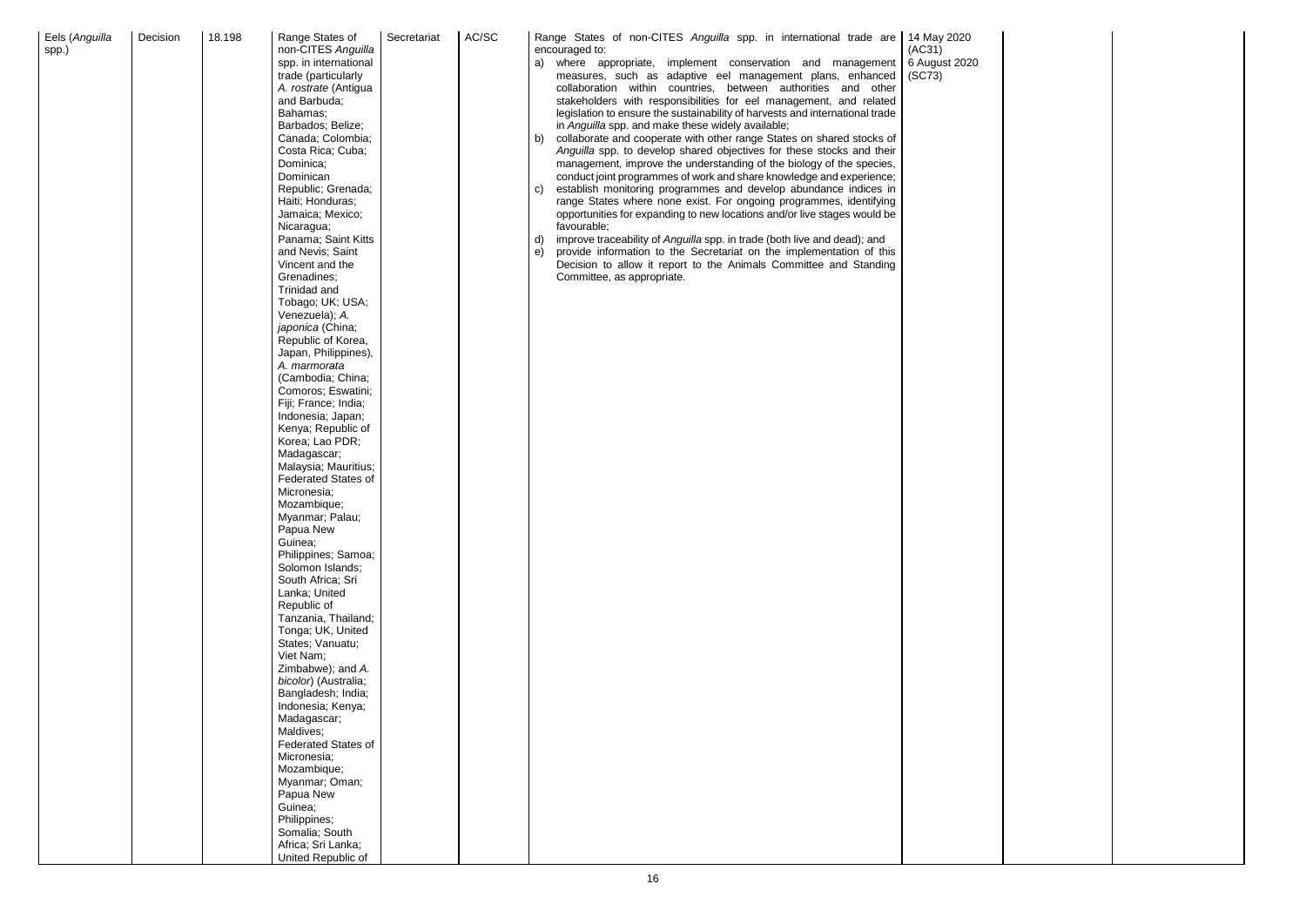

| Decision<br>Eels (Anguilla<br>spp.) | 18.198 | Range States of<br>non-CITES Anguilla<br>spp. in international<br>trade (particularly<br>A. rostrate (Antigua<br>and Barbuda;<br>Bahamas;<br>Barbados; Belize;<br>Canada; Colombia;<br>Costa Rica; Cuba;<br>Dominica;<br>Dominican<br>Republic; Grenada;<br>Haiti; Honduras;<br>Jamaica; Mexico;<br>Nicaragua;<br>Panama; Saint Kitts<br>and Nevis; Saint<br>Vincent and the<br>Grenadines;<br>Trinidad and<br>Tobago; UK; USA;<br>Venezuela); A.<br>japonica (China;<br>Republic of Korea,<br>Japan, Philippines),<br>A. marmorata<br>(Cambodia; China;<br>Comoros; Eswatini;<br>Fiji; France; India;<br>Indonesia; Japan;<br>Kenya; Republic of<br>Korea; Lao PDR;<br>Madagascar;<br>Malaysia; Mauritius;<br><b>Federated States of</b><br>Micronesia;<br>Mozambique;<br>Myanmar; Palau;<br>Papua New<br>Guinea;<br>Philippines; Samoa;<br>Solomon Islands;<br>South Africa; Sri<br>Lanka; United<br>Republic of<br>Tanzania, Thailand;<br>Tonga; UK, United<br>States; Vanuatu;<br>Viet Nam;<br>Zimbabwe); and A.<br>bicolor) (Australia;<br>Bangladesh; India;<br>Indonesia; Kenya;<br>Madagascar;<br>Maldives;<br><b>Federated States of</b><br>Micronesia;<br>Mozambique;<br>Myanmar; Oman;<br>Papua New<br>Guinea;<br>Philippines; | Secretariat | AC/SC | Range States of non-CITES Anguilla spp. in international trade are  <br>14 May 2020<br>encouraged to:<br>(AC31)<br>6 August 2020<br>where appropriate, implement conservation and management<br>a)<br>measures, such as adaptive eel management plans, enhanced<br>(SC73)<br>collaboration within countries, between authorities and other<br>stakeholders with responsibilities for eel management, and related<br>legislation to ensure the sustainability of harvests and international trade<br>in Anguilla spp. and make these widely available;<br>collaborate and cooperate with other range States on shared stocks of<br>b)<br>Anguilla spp. to develop shared objectives for these stocks and their<br>management, improve the understanding of the biology of the species,<br>conduct joint programmes of work and share knowledge and experience;<br>establish monitoring programmes and develop abundance indices in<br>C)<br>range States where none exist. For ongoing programmes, identifying<br>opportunities for expanding to new locations and/or live stages would be<br>favourable;<br>improve traceability of Anguilla spp. in trade (both live and dead); and<br>d)<br>provide information to the Secretariat on the implementation of this<br>e)<br>Decision to allow it report to the Animals Committee and Standing<br>Committee, as appropriate. |
|-------------------------------------|--------|-------------------------------------------------------------------------------------------------------------------------------------------------------------------------------------------------------------------------------------------------------------------------------------------------------------------------------------------------------------------------------------------------------------------------------------------------------------------------------------------------------------------------------------------------------------------------------------------------------------------------------------------------------------------------------------------------------------------------------------------------------------------------------------------------------------------------------------------------------------------------------------------------------------------------------------------------------------------------------------------------------------------------------------------------------------------------------------------------------------------------------------------------------------------------------------------------------------------------------------------|-------------|-------|-----------------------------------------------------------------------------------------------------------------------------------------------------------------------------------------------------------------------------------------------------------------------------------------------------------------------------------------------------------------------------------------------------------------------------------------------------------------------------------------------------------------------------------------------------------------------------------------------------------------------------------------------------------------------------------------------------------------------------------------------------------------------------------------------------------------------------------------------------------------------------------------------------------------------------------------------------------------------------------------------------------------------------------------------------------------------------------------------------------------------------------------------------------------------------------------------------------------------------------------------------------------------------------------------------------------------------------------------------------------------------|
|                                     |        | Somalia; South<br>Africa; Sri Lanka;                                                                                                                                                                                                                                                                                                                                                                                                                                                                                                                                                                                                                                                                                                                                                                                                                                                                                                                                                                                                                                                                                                                                                                                                      |             |       |                                                                                                                                                                                                                                                                                                                                                                                                                                                                                                                                                                                                                                                                                                                                                                                                                                                                                                                                                                                                                                                                                                                                                                                                                                                                                                                                                                             |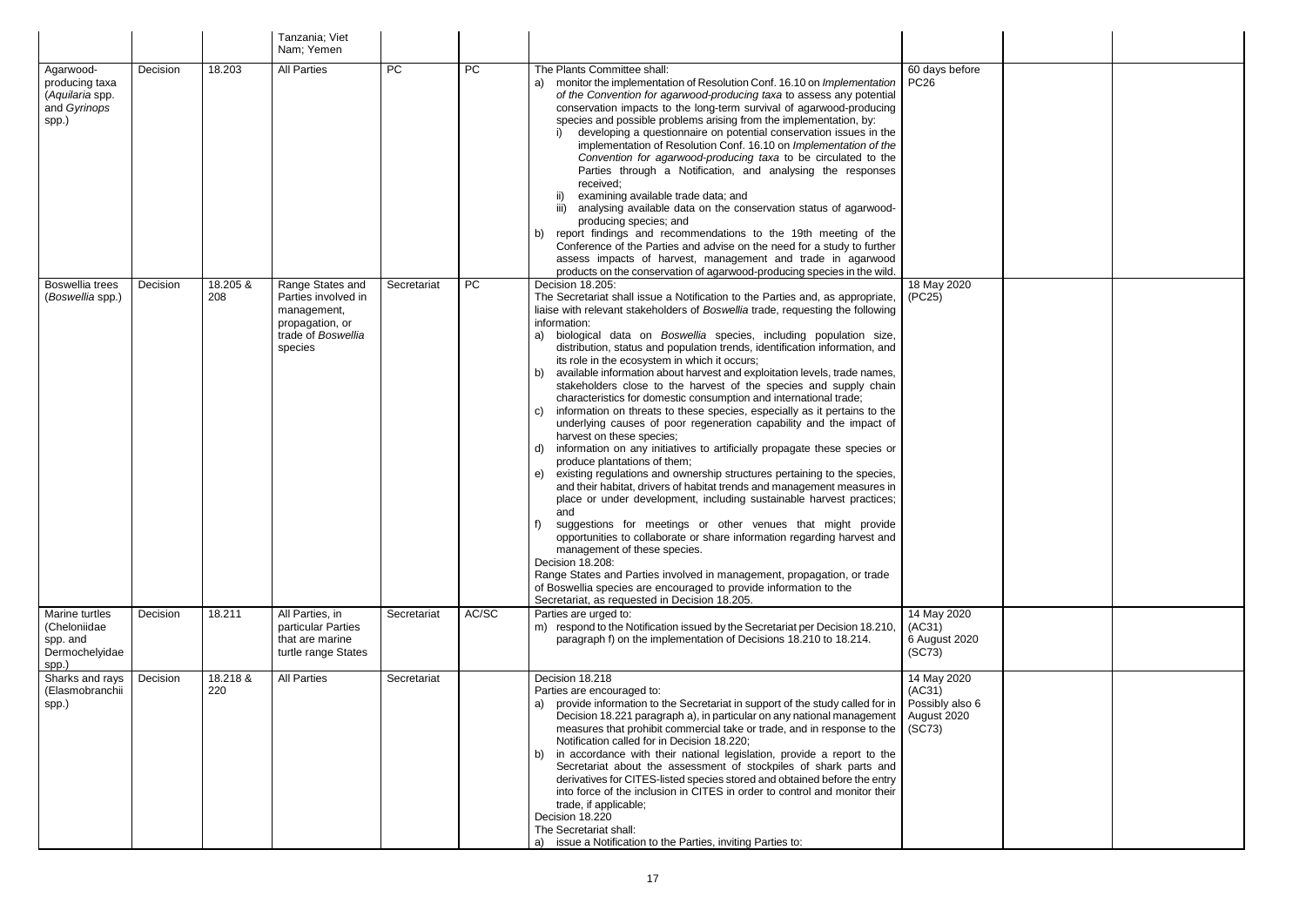|                                                                         |          |                 | Tanzania; Viet<br>Nam; Yemen                                                                               |             |           |                                                                                                                                                                                                                                                                                                                                                                                                                                                                                                                                                                                                                                                                                                                                                                                                                                                                                                                                                                                                                                                                                                                                                                                                                                                                                                                                                                                                                                                                                                                                                                                              |                                                                   |  |
|-------------------------------------------------------------------------|----------|-----------------|------------------------------------------------------------------------------------------------------------|-------------|-----------|----------------------------------------------------------------------------------------------------------------------------------------------------------------------------------------------------------------------------------------------------------------------------------------------------------------------------------------------------------------------------------------------------------------------------------------------------------------------------------------------------------------------------------------------------------------------------------------------------------------------------------------------------------------------------------------------------------------------------------------------------------------------------------------------------------------------------------------------------------------------------------------------------------------------------------------------------------------------------------------------------------------------------------------------------------------------------------------------------------------------------------------------------------------------------------------------------------------------------------------------------------------------------------------------------------------------------------------------------------------------------------------------------------------------------------------------------------------------------------------------------------------------------------------------------------------------------------------------|-------------------------------------------------------------------|--|
| Agarwood-<br>producing taxa<br>(Aquilaria spp.<br>and Gyrinops<br>spp.) | Decision | 18.203          | <b>All Parties</b>                                                                                         | <b>PC</b>   | <b>PC</b> | The Plants Committee shall:<br>a) monitor the implementation of Resolution Conf. 16.10 on Implementation<br>of the Convention for agarwood-producing taxa to assess any potential<br>conservation impacts to the long-term survival of agarwood-producing<br>species and possible problems arising from the implementation, by:<br>developing a questionnaire on potential conservation issues in the<br>implementation of Resolution Conf. 16.10 on Implementation of the<br>Convention for agarwood-producing taxa to be circulated to the<br>Parties through a Notification, and analysing the responses<br>received;<br>examining available trade data; and<br>ii)<br>iii) analysing available data on the conservation status of agarwood-<br>producing species; and<br>b) report findings and recommendations to the 19th meeting of the<br>Conference of the Parties and advise on the need for a study to further<br>assess impacts of harvest, management and trade in agarwood<br>products on the conservation of agarwood-producing species in the wild.                                                                                                                                                                                                                                                                                                                                                                                                                                                                                                                          | 60 days before<br><b>PC26</b>                                     |  |
| Boswellia trees<br>(Boswellia spp.)                                     | Decision | 18.205 &<br>208 | Range States and<br>Parties involved in<br>management,<br>propagation, or<br>trade of Boswellia<br>species | Secretariat | <b>PC</b> | Decision 18.205:<br>The Secretariat shall issue a Notification to the Parties and, as appropriate,<br>liaise with relevant stakeholders of Boswellia trade, requesting the following<br>information:<br>a) biological data on Boswellia species, including population size,<br>distribution, status and population trends, identification information, and<br>its role in the ecosystem in which it occurs;<br>available information about harvest and exploitation levels, trade names,<br>b)<br>stakeholders close to the harvest of the species and supply chain<br>characteristics for domestic consumption and international trade;<br>information on threats to these species, especially as it pertains to the<br>C)<br>underlying causes of poor regeneration capability and the impact of<br>harvest on these species;<br>information on any initiatives to artificially propagate these species or<br>d)<br>produce plantations of them;<br>existing regulations and ownership structures pertaining to the species,<br>e)<br>and their habitat, drivers of habitat trends and management measures in<br>place or under development, including sustainable harvest practices;<br>and<br>suggestions for meetings or other venues that might provide<br>opportunities to collaborate or share information regarding harvest and<br>management of these species.<br>Decision 18.208:<br>Range States and Parties involved in management, propagation, or trade<br>of Boswellia species are encouraged to provide information to the<br>Secretariat, as requested in Decision 18.205. | 18 May 2020<br>(PC25)                                             |  |
| Marine turtles<br>(Cheloniidae<br>spp. and<br>Dermochelyidae<br>spp.)   | Decision | 18.211          | All Parties, in<br>particular Parties<br>that are marine<br>turtle range States                            | Secretariat | AC/SC     | Parties are urged to:<br>m) respond to the Notification issued by the Secretariat per Decision 18.210,<br>paragraph f) on the implementation of Decisions 18.210 to 18.214.                                                                                                                                                                                                                                                                                                                                                                                                                                                                                                                                                                                                                                                                                                                                                                                                                                                                                                                                                                                                                                                                                                                                                                                                                                                                                                                                                                                                                  | 14 May 2020<br>(AC31)<br>6 August 2020<br>(SC73)                  |  |
| Sharks and rays<br>(Elasmobranchii<br>spp.)                             | Decision | 18.218 &<br>220 | <b>All Parties</b>                                                                                         | Secretariat |           | Decision 18.218<br>Parties are encouraged to:<br>provide information to the Secretariat in support of the study called for in<br>a)<br>Decision 18.221 paragraph a), in particular on any national management<br>measures that prohibit commercial take or trade, and in response to the<br>Notification called for in Decision 18.220;<br>b) in accordance with their national legislation, provide a report to the<br>Secretariat about the assessment of stockpiles of shark parts and<br>derivatives for CITES-listed species stored and obtained before the entry<br>into force of the inclusion in CITES in order to control and monitor their<br>trade, if applicable;<br>Decision 18.220<br>The Secretariat shall:<br>a) issue a Notification to the Parties, inviting Parties to:                                                                                                                                                                                                                                                                                                                                                                                                                                                                                                                                                                                                                                                                                                                                                                                                   | 14 May 2020<br>(AC31)<br>Possibly also 6<br>August 2020<br>(SC73) |  |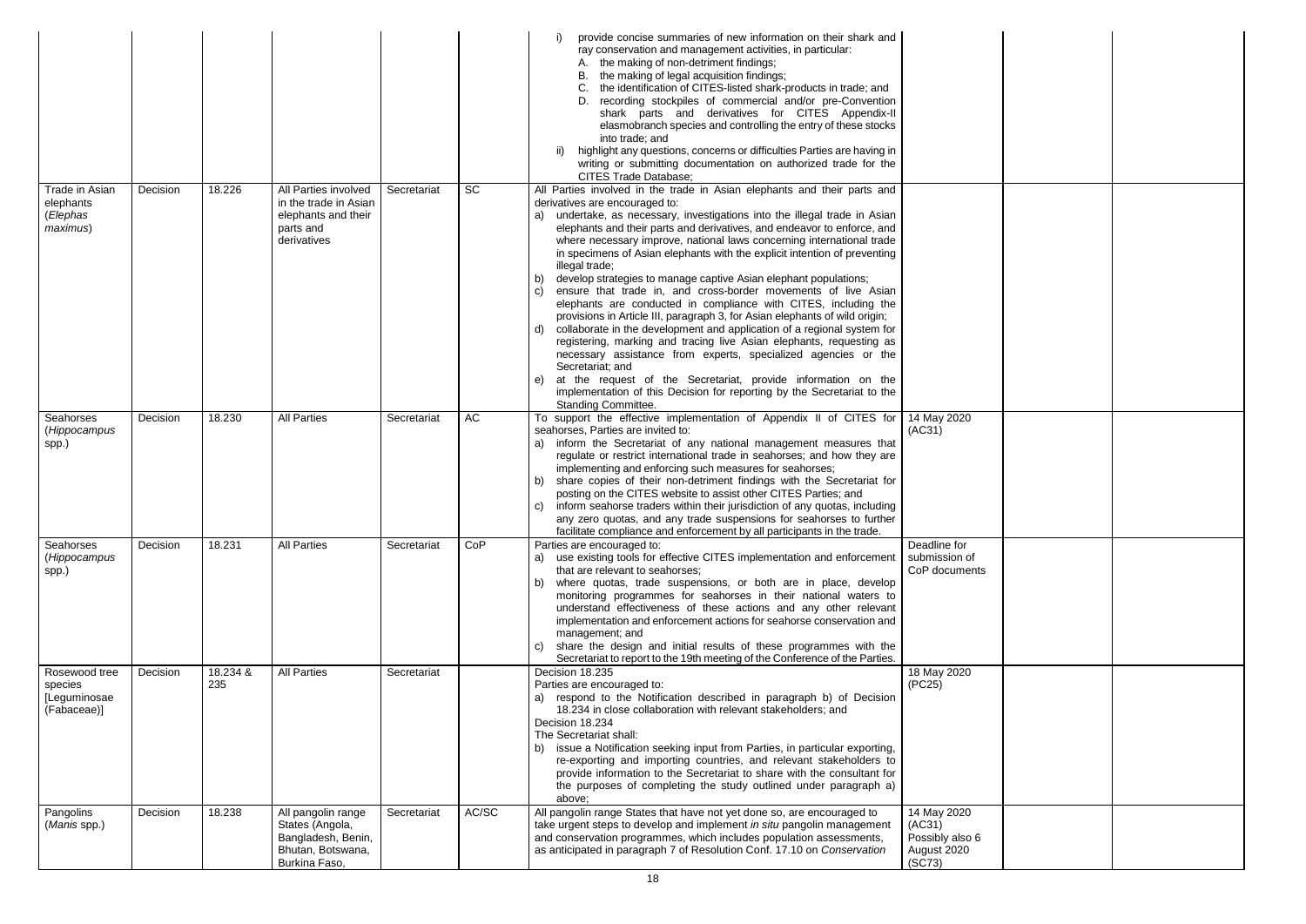|                                                         |          |                 |                                                                                                   |             |           | provide concise summaries of new information on their shark and<br>ray conservation and management activities, in particular:<br>the making of non-detriment findings;<br>the making of legal acquisition findings;<br>В.<br>the identification of CITES-listed shark-products in trade; and<br>recording stockpiles of commercial and/or pre-Convention<br>shark parts and derivatives for CITES Appendix-II<br>elasmobranch species and controlling the entry of these stocks<br>into trade; and<br>highlight any questions, concerns or difficulties Parties are having in<br>ii)<br>writing or submitting documentation on authorized trade for the<br><b>CITES Trade Database;</b>                                                                                                                                                                                                                                                                                                                                                                                                                                                                           |                                                                   |
|---------------------------------------------------------|----------|-----------------|---------------------------------------------------------------------------------------------------|-------------|-----------|-------------------------------------------------------------------------------------------------------------------------------------------------------------------------------------------------------------------------------------------------------------------------------------------------------------------------------------------------------------------------------------------------------------------------------------------------------------------------------------------------------------------------------------------------------------------------------------------------------------------------------------------------------------------------------------------------------------------------------------------------------------------------------------------------------------------------------------------------------------------------------------------------------------------------------------------------------------------------------------------------------------------------------------------------------------------------------------------------------------------------------------------------------------------|-------------------------------------------------------------------|
| Trade in Asian<br>elephants<br>(Elephas<br>maximus)     | Decision | 18.226          | All Parties involved<br>in the trade in Asian<br>elephants and their<br>parts and<br>derivatives  | Secretariat | <b>SC</b> | All Parties involved in the trade in Asian elephants and their parts and<br>derivatives are encouraged to:<br>a) undertake, as necessary, investigations into the illegal trade in Asian<br>elephants and their parts and derivatives, and endeavor to enforce, and<br>where necessary improve, national laws concerning international trade<br>in specimens of Asian elephants with the explicit intention of preventing<br>illegal trade;<br>develop strategies to manage captive Asian elephant populations;<br>b)<br>ensure that trade in, and cross-border movements of live Asian<br>elephants are conducted in compliance with CITES, including the<br>provisions in Article III, paragraph 3, for Asian elephants of wild origin;<br>collaborate in the development and application of a regional system for<br>d)<br>registering, marking and tracing live Asian elephants, requesting as<br>necessary assistance from experts, specialized agencies or the<br>Secretariat; and<br>at the request of the Secretariat, provide information on the<br>e)<br>implementation of this Decision for reporting by the Secretariat to the<br>Standing Committee. |                                                                   |
| Seahorses<br>(Hippocampus<br>spp.)                      | Decision | 18.230          | <b>All Parties</b>                                                                                | Secretariat | AC        | To support the effective implementation of Appendix II of CITES for<br>seahorses, Parties are invited to:<br>inform the Secretariat of any national management measures that<br>a)<br>regulate or restrict international trade in seahorses; and how they are<br>implementing and enforcing such measures for seahorses;<br>share copies of their non-detriment findings with the Secretariat for<br>b)<br>posting on the CITES website to assist other CITES Parties; and<br>inform seahorse traders within their jurisdiction of any quotas, including<br>any zero quotas, and any trade suspensions for seahorses to further<br>facilitate compliance and enforcement by all participants in the trade.                                                                                                                                                                                                                                                                                                                                                                                                                                                        | 14 May 2020<br>(AC31)                                             |
| Seahorses<br>(Hippocampus<br>spp.)                      | Decision | 18.231          | <b>All Parties</b>                                                                                | Secretariat | CoP       | Parties are encouraged to:<br>a) use existing tools for effective CITES implementation and enforcement<br>that are relevant to seahorses;<br>where quotas, trade suspensions, or both are in place, develop<br>b)<br>monitoring programmes for seahorses in their national waters to<br>understand effectiveness of these actions and any other relevant<br>implementation and enforcement actions for seahorse conservation and<br>management; and<br>share the design and initial results of these programmes with the<br>C)<br>Secretariat to report to the 19th meeting of the Conference of the Parties.                                                                                                                                                                                                                                                                                                                                                                                                                                                                                                                                                     | Deadline for<br>submission of<br>CoP documents                    |
| Rosewood tree<br>species<br>[Leguminosae<br>(Fabaceae)] | Decision | 18.234 &<br>235 | <b>All Parties</b>                                                                                | Secretariat |           | Decision 18.235<br>Parties are encouraged to:<br>a) respond to the Notification described in paragraph b) of Decision<br>18.234 in close collaboration with relevant stakeholders; and<br>Decision 18.234<br>The Secretariat shall:<br>issue a Notification seeking input from Parties, in particular exporting,<br>re-exporting and importing countries, and relevant stakeholders to<br>provide information to the Secretariat to share with the consultant for<br>the purposes of completing the study outlined under paragraph a)<br>above:                                                                                                                                                                                                                                                                                                                                                                                                                                                                                                                                                                                                                   | 18 May 2020<br>(PC25)                                             |
| Pangolins<br>(Manis spp.)                               | Decision | 18.238          | All pangolin range<br>States (Angola,<br>Bangladesh, Benin,<br>Bhutan, Botswana,<br>Burkina Faso, | Secretariat | AC/SC     | All pangolin range States that have not yet done so, are encouraged to<br>take urgent steps to develop and implement in situ pangolin management<br>and conservation programmes, which includes population assessments,<br>as anticipated in paragraph 7 of Resolution Conf. 17.10 on Conservation                                                                                                                                                                                                                                                                                                                                                                                                                                                                                                                                                                                                                                                                                                                                                                                                                                                                | 14 May 2020<br>(AC31)<br>Possibly also 6<br>August 2020<br>(SC73) |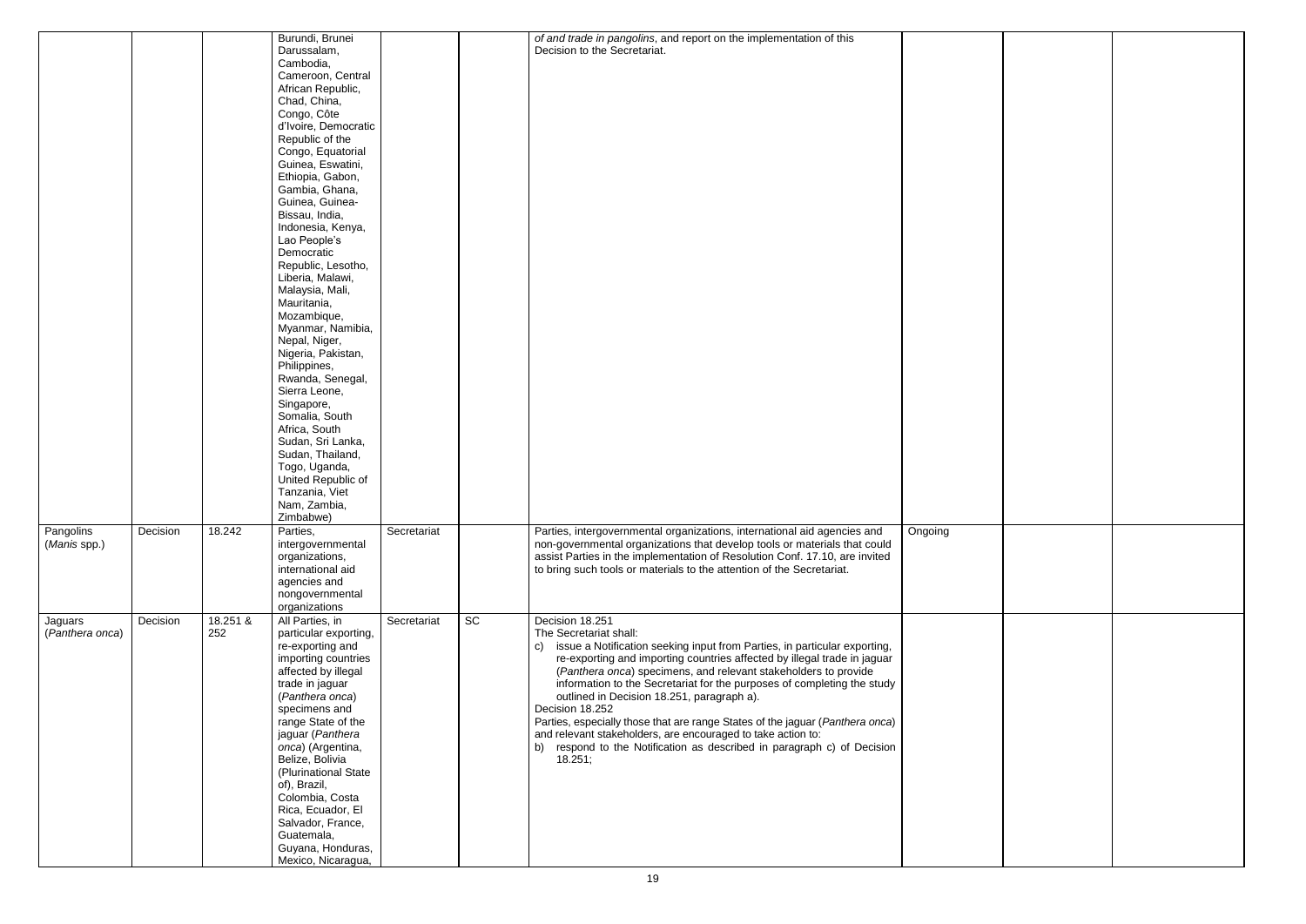|                            |          |                 | Burundi, Brunei<br>Darussalam,<br>Cambodia,<br>Cameroon, Central<br>African Republic,<br>Chad, China,<br>Congo, Côte<br>d'Ivoire, Democratic<br>Republic of the<br>Congo, Equatorial<br>Guinea, Eswatini,<br>Ethiopia, Gabon,<br>Gambia, Ghana,<br>Guinea, Guinea-<br>Bissau, India,<br>Indonesia, Kenya,<br>Lao People's<br>Democratic<br>Republic, Lesotho,<br>Liberia, Malawi,<br>Malaysia, Mali,<br>Mauritania,<br>Mozambique,<br>Myanmar, Namibia,<br>Nepal, Niger,<br>Nigeria, Pakistan,<br>Philippines,<br>Rwanda, Senegal,<br>Sierra Leone,<br>Singapore, |             |    | of and trade in pangolins, and report on the implementation of this<br>Decision to the Secretariat.                                                                                                                                                                                                                                                                                                                                                                                                                                                                                                                                                               |         |
|----------------------------|----------|-----------------|-------------------------------------------------------------------------------------------------------------------------------------------------------------------------------------------------------------------------------------------------------------------------------------------------------------------------------------------------------------------------------------------------------------------------------------------------------------------------------------------------------------------------------------------------------------------|-------------|----|-------------------------------------------------------------------------------------------------------------------------------------------------------------------------------------------------------------------------------------------------------------------------------------------------------------------------------------------------------------------------------------------------------------------------------------------------------------------------------------------------------------------------------------------------------------------------------------------------------------------------------------------------------------------|---------|
|                            |          |                 | Somalia, South<br>Africa, South                                                                                                                                                                                                                                                                                                                                                                                                                                                                                                                                   |             |    |                                                                                                                                                                                                                                                                                                                                                                                                                                                                                                                                                                                                                                                                   |         |
|                            |          |                 | Sudan, Sri Lanka,<br>Sudan, Thailand,                                                                                                                                                                                                                                                                                                                                                                                                                                                                                                                             |             |    |                                                                                                                                                                                                                                                                                                                                                                                                                                                                                                                                                                                                                                                                   |         |
|                            |          |                 | Togo, Uganda,<br>United Republic of<br>Tanzania, Viet<br>Nam, Zambia,<br>Zimbabwe)                                                                                                                                                                                                                                                                                                                                                                                                                                                                                |             |    |                                                                                                                                                                                                                                                                                                                                                                                                                                                                                                                                                                                                                                                                   |         |
| Pangolins<br>(Manis spp.)  | Decision | 18.242          | Parties.<br>intergovernmental<br>organizations,<br>international aid<br>agencies and<br>nongovernmental<br>organizations                                                                                                                                                                                                                                                                                                                                                                                                                                          | Secretariat |    | Parties, intergovernmental organizations, international aid agencies and<br>non-governmental organizations that develop tools or materials that could<br>assist Parties in the implementation of Resolution Conf. 17.10, are invited<br>to bring such tools or materials to the attention of the Secretariat.                                                                                                                                                                                                                                                                                                                                                     | Ongoing |
| Jaguars<br>(Panthera onca) | Decision | 18.251 &<br>252 | All Parties, in<br>particular exporting,<br>re-exporting and<br>importing countries<br>affected by illegal<br>trade in jaguar<br>(Panthera onca)<br>specimens and<br>range State of the<br>jaguar (Panthera<br>onca) (Argentina,<br>Belize, Bolivia<br>(Plurinational State<br>of), Brazil,<br>Colombia, Costa<br>Rica, Ecuador, El<br>Salvador, France,<br>Guatemala,<br>Guyana, Honduras,<br>Mexico, Nicaragua,                                                                                                                                                 | Secretariat | SC | Decision 18.251<br>The Secretariat shall:<br>issue a Notification seeking input from Parties, in particular exporting,<br>C)<br>re-exporting and importing countries affected by illegal trade in jaguar<br>(Panthera onca) specimens, and relevant stakeholders to provide<br>information to the Secretariat for the purposes of completing the study<br>outlined in Decision 18.251, paragraph a).<br>Decision 18.252<br>Parties, especially those that are range States of the jaguar (Panthera onca)<br>and relevant stakeholders, are encouraged to take action to:<br>respond to the Notification as described in paragraph c) of Decision<br>b)<br>18.251; |         |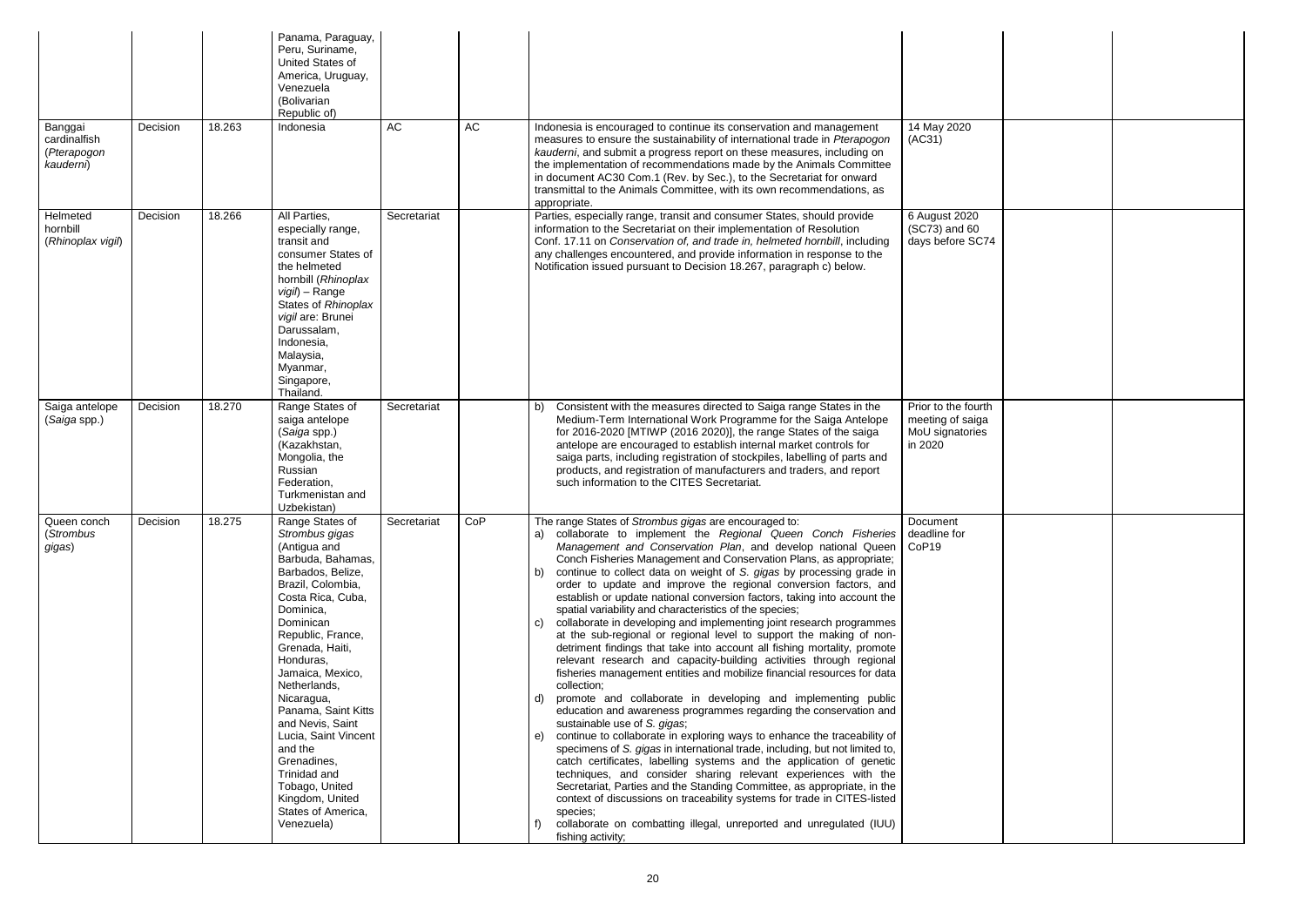| Banggai<br>cardinalfish<br>(Pterapogon    | Decision | 18.263 | Panama, Paraguay,<br>Peru, Suriname,<br>United States of<br>America, Uruguay,<br>Venezuela<br>(Bolivarian<br>Republic of)<br>Indonesia                                                                                                                                                                                                                                                                                                                       | AC          | AC  | Indonesia is encouraged to continue its conservation and management<br>measures to ensure the sustainability of international trade in Pterapogon<br>kauderni, and submit a progress report on these measures, including on                                                                                                                                                                                                                                                                                                                                                                                                                                                                                                                                                                                                                                                                                                                                                                                                                                                                                                                                                                                                                                                                                                                                                                                                                                                                                                                                                                                                                                                                                      | 14 May 2020<br>(AC31)                                                 |  |
|-------------------------------------------|----------|--------|--------------------------------------------------------------------------------------------------------------------------------------------------------------------------------------------------------------------------------------------------------------------------------------------------------------------------------------------------------------------------------------------------------------------------------------------------------------|-------------|-----|------------------------------------------------------------------------------------------------------------------------------------------------------------------------------------------------------------------------------------------------------------------------------------------------------------------------------------------------------------------------------------------------------------------------------------------------------------------------------------------------------------------------------------------------------------------------------------------------------------------------------------------------------------------------------------------------------------------------------------------------------------------------------------------------------------------------------------------------------------------------------------------------------------------------------------------------------------------------------------------------------------------------------------------------------------------------------------------------------------------------------------------------------------------------------------------------------------------------------------------------------------------------------------------------------------------------------------------------------------------------------------------------------------------------------------------------------------------------------------------------------------------------------------------------------------------------------------------------------------------------------------------------------------------------------------------------------------------|-----------------------------------------------------------------------|--|
| kauderni)                                 |          |        |                                                                                                                                                                                                                                                                                                                                                                                                                                                              |             |     | the implementation of recommendations made by the Animals Committee<br>in document AC30 Com.1 (Rev. by Sec.), to the Secretariat for onward<br>transmittal to the Animals Committee, with its own recommendations, as<br>appropriate.                                                                                                                                                                                                                                                                                                                                                                                                                                                                                                                                                                                                                                                                                                                                                                                                                                                                                                                                                                                                                                                                                                                                                                                                                                                                                                                                                                                                                                                                            |                                                                       |  |
| Helmeted<br>hornbill<br>(Rhinoplax vigil) | Decision | 18.266 | All Parties,<br>especially range,<br>transit and<br>consumer States of<br>the helmeted<br>hornbill (Rhinoplax<br>vigil) - Range<br>States of Rhinoplax<br>vigil are: Brunei<br>Darussalam,<br>Indonesia,<br>Malaysia,<br>Myanmar,<br>Singapore,<br>Thailand.                                                                                                                                                                                                 | Secretariat |     | Parties, especially range, transit and consumer States, should provide<br>information to the Secretariat on their implementation of Resolution<br>Conf. 17.11 on Conservation of, and trade in, helmeted hornbill, including<br>any challenges encountered, and provide information in response to the<br>Notification issued pursuant to Decision 18.267, paragraph c) below.                                                                                                                                                                                                                                                                                                                                                                                                                                                                                                                                                                                                                                                                                                                                                                                                                                                                                                                                                                                                                                                                                                                                                                                                                                                                                                                                   | 6 August 2020<br>(SC73) and 60<br>days before SC74                    |  |
| Saiga antelope<br>(Saiga spp.)            | Decision | 18.270 | Range States of<br>saiga antelope<br>(Saiga spp.)<br>(Kazakhstan,<br>Mongolia, the<br>Russian<br>Federation,<br>Turkmenistan and<br>Uzbekistan)                                                                                                                                                                                                                                                                                                              | Secretariat |     | Consistent with the measures directed to Saiga range States in the<br>b)<br>Medium-Term International Work Programme for the Saiga Antelope<br>for 2016-2020 [MTIWP (2016 2020)], the range States of the saiga<br>antelope are encouraged to establish internal market controls for<br>saiga parts, including registration of stockpiles, labelling of parts and<br>products, and registration of manufacturers and traders, and report<br>such information to the CITES Secretariat.                                                                                                                                                                                                                                                                                                                                                                                                                                                                                                                                                                                                                                                                                                                                                                                                                                                                                                                                                                                                                                                                                                                                                                                                                           | Prior to the fourth<br>meeting of saiga<br>MoU signatories<br>in 2020 |  |
| Queen conch<br>(Strombus<br>gigas)        | Decision | 18.275 | Range States of<br>Strombus gigas<br>(Antigua and<br>Barbuda, Bahamas,<br>Barbados, Belize,<br>Brazil, Colombia,<br>Costa Rica, Cuba,<br>Dominica,<br>Dominican<br>Republic, France,<br>Grenada, Haiti,<br>Honduras,<br>Jamaica, Mexico,<br>Netherlands,<br>Nicaragua,<br>Panama, Saint Kitts<br>and Nevis, Saint<br>Lucia, Saint Vincent<br>and the<br>Grenadines,<br>Trinidad and<br>Tobago, United<br>Kingdom, United<br>States of America,<br>Venezuela) | Secretariat | CoP | The range States of Strombus gigas are encouraged to:<br>a) collaborate to implement the Regional Queen Conch Fisheries<br>Management and Conservation Plan, and develop national Queen<br>Conch Fisheries Management and Conservation Plans, as appropriate;<br>continue to collect data on weight of S. gigas by processing grade in<br>b)<br>order to update and improve the regional conversion factors, and<br>establish or update national conversion factors, taking into account the<br>spatial variability and characteristics of the species;<br>collaborate in developing and implementing joint research programmes<br>C)<br>at the sub-regional or regional level to support the making of non-<br>detriment findings that take into account all fishing mortality, promote<br>relevant research and capacity-building activities through regional<br>fisheries management entities and mobilize financial resources for data<br>collection;<br>promote and collaborate in developing and implementing public<br>d)<br>education and awareness programmes regarding the conservation and<br>sustainable use of S. gigas;<br>continue to collaborate in exploring ways to enhance the traceability of<br>e)<br>specimens of S. gigas in international trade, including, but not limited to,<br>catch certificates, labelling systems and the application of genetic<br>techniques, and consider sharing relevant experiences with the<br>Secretariat, Parties and the Standing Committee, as appropriate, in the<br>context of discussions on traceability systems for trade in CITES-listed<br>species;<br>collaborate on combatting illegal, unreported and unregulated (IUU)<br>fishing activity; | <b>Document</b><br>deadline for<br>CoP <sub>19</sub>                  |  |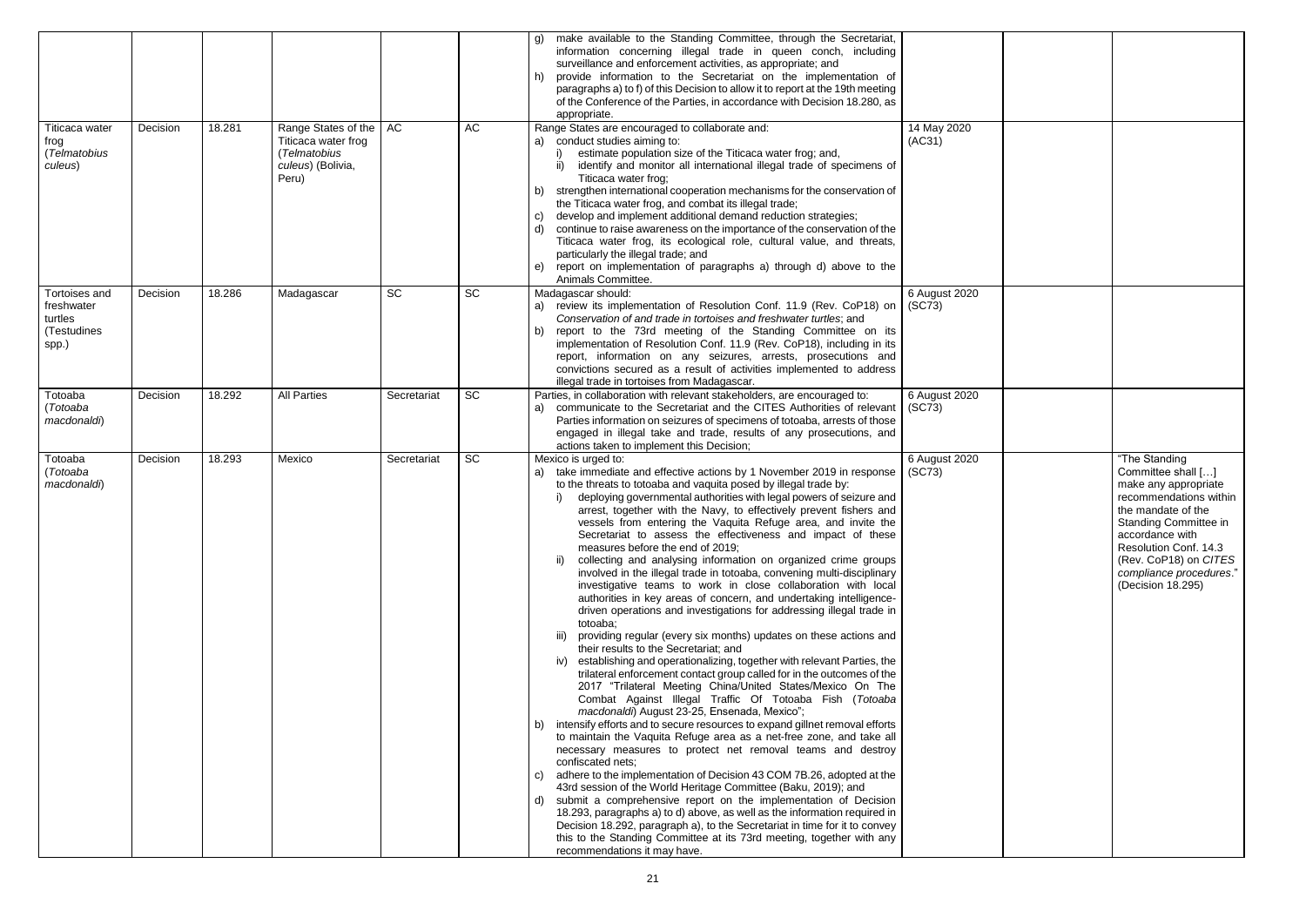| C              |                                                                                                                                                                                                                                                           |
|----------------|-----------------------------------------------------------------------------------------------------------------------------------------------------------------------------------------------------------------------------------------------------------|
| $\overline{)}$ |                                                                                                                                                                                                                                                           |
| ົງ             | "The Standing<br>Committee shall []<br>make any appropriate<br>recommendations within<br>the mandate of the<br>Standing Committee in<br>accordance with<br>Resolution Conf. 14.3<br>(Rev. CoP18) on CITES<br>compliance procedures."<br>(Decision 18.295) |

|                                                                       |          |        |                                                                                          |             |           | make available to the Standing Committee, through the Secretariat,<br>g)<br>information concerning illegal trade in queen conch, including<br>surveillance and enforcement activities, as appropriate; and<br>provide information to the Secretariat on the implementation of<br>h)<br>paragraphs a) to f) of this Decision to allow it to report at the 19th meeting<br>of the Conference of the Parties, in accordance with Decision 18.280, as<br>appropriate.                                                                                                                                                                                                                                                                                                                                                                                                                                                                                                                                                                                                                                                                                                                                                                                                                                                                                                                                                                                                                                                                                                                                                                                                                                                                                                                                                                                                                                                                                                                                                                                                         |                         |
|-----------------------------------------------------------------------|----------|--------|------------------------------------------------------------------------------------------|-------------|-----------|---------------------------------------------------------------------------------------------------------------------------------------------------------------------------------------------------------------------------------------------------------------------------------------------------------------------------------------------------------------------------------------------------------------------------------------------------------------------------------------------------------------------------------------------------------------------------------------------------------------------------------------------------------------------------------------------------------------------------------------------------------------------------------------------------------------------------------------------------------------------------------------------------------------------------------------------------------------------------------------------------------------------------------------------------------------------------------------------------------------------------------------------------------------------------------------------------------------------------------------------------------------------------------------------------------------------------------------------------------------------------------------------------------------------------------------------------------------------------------------------------------------------------------------------------------------------------------------------------------------------------------------------------------------------------------------------------------------------------------------------------------------------------------------------------------------------------------------------------------------------------------------------------------------------------------------------------------------------------------------------------------------------------------------------------------------------------|-------------------------|
| Titicaca water<br>frog<br>(Telmatobius<br>culeus)                     | Decision | 18.281 | Range States of the<br>Titicaca water frog<br>(Telmatobius<br>culeus) (Bolivia,<br>Peru) | AC          | AC        | Range States are encouraged to collaborate and:<br>a) conduct studies aiming to:<br>estimate population size of the Titicaca water frog; and,<br>identify and monitor all international illegal trade of specimens of<br>Titicaca water frog;<br>strengthen international cooperation mechanisms for the conservation of<br>D)<br>the Titicaca water frog, and combat its illegal trade;<br>develop and implement additional demand reduction strategies;<br>C)<br>continue to raise awareness on the importance of the conservation of the<br>d)<br>Titicaca water frog, its ecological role, cultural value, and threats,<br>particularly the illegal trade; and<br>report on implementation of paragraphs a) through d) above to the<br>e)<br>Animals Committee.                                                                                                                                                                                                                                                                                                                                                                                                                                                                                                                                                                                                                                                                                                                                                                                                                                                                                                                                                                                                                                                                                                                                                                                                                                                                                                       | 14 May 2020<br>(AC31)   |
| <b>Tortoises and</b><br>freshwater<br>turtles<br>(Testudines<br>spp.) | Decision | 18.286 | Madagascar                                                                               | <b>SC</b>   | <b>SC</b> | Madagascar should:<br>review its implementation of Resolution Conf. 11.9 (Rev. CoP18) on<br>a)<br>Conservation of and trade in tortoises and freshwater turtles; and<br>report to the 73rd meeting of the Standing Committee on its<br>b)<br>implementation of Resolution Conf. 11.9 (Rev. CoP18), including in its<br>report, information on any seizures, arrests, prosecutions and<br>convictions secured as a result of activities implemented to address<br>illegal trade in tortoises from Madagascar.                                                                                                                                                                                                                                                                                                                                                                                                                                                                                                                                                                                                                                                                                                                                                                                                                                                                                                                                                                                                                                                                                                                                                                                                                                                                                                                                                                                                                                                                                                                                                              | 6 August 2020<br>(SC73) |
| Totoaba<br>(Totoaba<br>macdonaldi)                                    | Decision | 18.292 | <b>All Parties</b>                                                                       | Secretariat | <b>SC</b> | Parties, in collaboration with relevant stakeholders, are encouraged to:<br>communicate to the Secretariat and the CITES Authorities of relevant<br>a)<br>Parties information on seizures of specimens of totoaba, arrests of those<br>engaged in illegal take and trade, results of any prosecutions, and<br>actions taken to implement this Decision;                                                                                                                                                                                                                                                                                                                                                                                                                                                                                                                                                                                                                                                                                                                                                                                                                                                                                                                                                                                                                                                                                                                                                                                                                                                                                                                                                                                                                                                                                                                                                                                                                                                                                                                   | 6 August 2020<br>(SC73) |
| Totoaba<br>(Totoaba<br>macdonaldi)                                    | Decision | 18.293 | Mexico                                                                                   | Secretariat | SC        | Mexico is urged to:<br>take immediate and effective actions by 1 November 2019 in response<br>a)<br>to the threats to totoaba and vaquita posed by illegal trade by:<br>deploying governmental authorities with legal powers of seizure and<br>arrest, together with the Navy, to effectively prevent fishers and<br>vessels from entering the Vaquita Refuge area, and invite the<br>Secretariat to assess the effectiveness and impact of these<br>measures before the end of 2019;<br>collecting and analysing information on organized crime groups<br>ii)<br>involved in the illegal trade in totoaba, convening multi-disciplinary<br>investigative teams to work in close collaboration with local<br>authorities in key areas of concern, and undertaking intelligence-<br>driven operations and investigations for addressing illegal trade in<br>totoaba;<br>providing regular (every six months) updates on these actions and<br>iii)<br>their results to the Secretariat; and<br>iv) establishing and operationalizing, together with relevant Parties, the<br>trilateral enforcement contact group called for in the outcomes of the<br>2017 "Trilateral Meeting China/United States/Mexico On The<br>Combat Against Illegal Traffic Of Totoaba Fish (Totoaba<br>macdonaldi) August 23-25, Ensenada, Mexico";<br>intensify efforts and to secure resources to expand gillnet removal efforts<br>b)<br>to maintain the Vaquita Refuge area as a net-free zone, and take all<br>necessary measures to protect net removal teams and destroy<br>confiscated nets;<br>adhere to the implementation of Decision 43 COM 7B.26, adopted at the<br>C)<br>43rd session of the World Heritage Committee (Baku, 2019); and<br>submit a comprehensive report on the implementation of Decision<br>d)<br>18.293, paragraphs a) to d) above, as well as the information required in<br>Decision 18.292, paragraph a), to the Secretariat in time for it to convey<br>this to the Standing Committee at its 73rd meeting, together with any<br>recommendations it may have. | 6 August 2020<br>(SC73) |